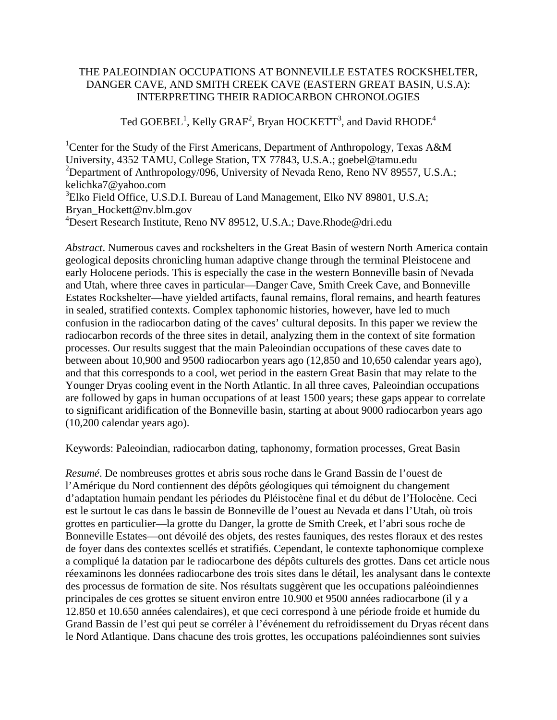# THE PALEOINDIAN OCCUPATIONS AT BONNEVILLE ESTATES ROCKSHELTER, DANGER CAVE, AND SMITH CREEK CAVE (EASTERN GREAT BASIN, U.S.A): INTERPRETING THEIR RADIOCARBON CHRONOLOGIES

Ted GOEBEL<sup>1</sup>, Kelly GRAF<sup>2</sup>, Bryan HOCKETT<sup>3</sup>, and David RHODE<sup>4</sup>

<sup>1</sup>Center for the Study of the First Americans, Department of Anthropology, Texas A&M University, 4352 TAMU, College Station, TX 77843, U.S.A.; goebel@tamu.edu <sup>2</sup>Department of Anthropology/096, University of Nevada Reno, Reno NV 89557, U.S.A.; kelichka7@yahoo.com <sup>3</sup>Elko Field Office, U.S.D.I. Bureau of Land Management, Elko NV 89801, U.S.A; Bryan\_Hockett@nv.blm.gov 4 Desert Research Institute, Reno NV 89512, U.S.A.; Dave.Rhode@dri.edu

*Abstract*. Numerous caves and rockshelters in the Great Basin of western North America contain geological deposits chronicling human adaptive change through the terminal Pleistocene and early Holocene periods. This is especially the case in the western Bonneville basin of Nevada and Utah, where three caves in particular—Danger Cave, Smith Creek Cave, and Bonneville Estates Rockshelter—have yielded artifacts, faunal remains, floral remains, and hearth features in sealed, stratified contexts. Complex taphonomic histories, however, have led to much confusion in the radiocarbon dating of the caves' cultural deposits. In this paper we review the radiocarbon records of the three sites in detail, analyzing them in the context of site formation processes. Our results suggest that the main Paleoindian occupations of these caves date to between about 10,900 and 9500 radiocarbon years ago (12,850 and 10,650 calendar years ago), and that this corresponds to a cool, wet period in the eastern Great Basin that may relate to the Younger Dryas cooling event in the North Atlantic. In all three caves, Paleoindian occupations are followed by gaps in human occupations of at least 1500 years; these gaps appear to correlate to significant aridification of the Bonneville basin, starting at about 9000 radiocarbon years ago (10,200 calendar years ago).

Keywords: Paleoindian, radiocarbon dating, taphonomy, formation processes, Great Basin

*Resumé*. De nombreuses grottes et abris sous roche dans le Grand Bassin de l'ouest de l'Amérique du Nord contiennent des dépôts géologiques qui témoignent du changement d'adaptation humain pendant les périodes du Pléistocène final et du début de l'Holocène. Ceci est le surtout le cas dans le bassin de Bonneville de l'ouest au Nevada et dans l'Utah, où trois grottes en particulier—la grotte du Danger, la grotte de Smith Creek, et l'abri sous roche de Bonneville Estates—ont dévoilé des objets, des restes fauniques, des restes floraux et des restes de foyer dans des contextes scellés et stratifiés. Cependant, le contexte taphonomique complexe a compliqué la datation par le radiocarbone des dépôts culturels des grottes. Dans cet article nous réexaminons les données radiocarbone des trois sites dans le détail, les analysant dans le contexte des processus de formation de site. Nos résultats suggèrent que les occupations paléoindiennes principales de ces grottes se situent environ entre 10.900 et 9500 années radiocarbone (il y a 12.850 et 10.650 années calendaires), et que ceci correspond à une période froide et humide du Grand Bassin de l'est qui peut se corréler à l'événement du refroidissement du Dryas récent dans le Nord Atlantique. Dans chacune des trois grottes, les occupations paléoindiennes sont suivies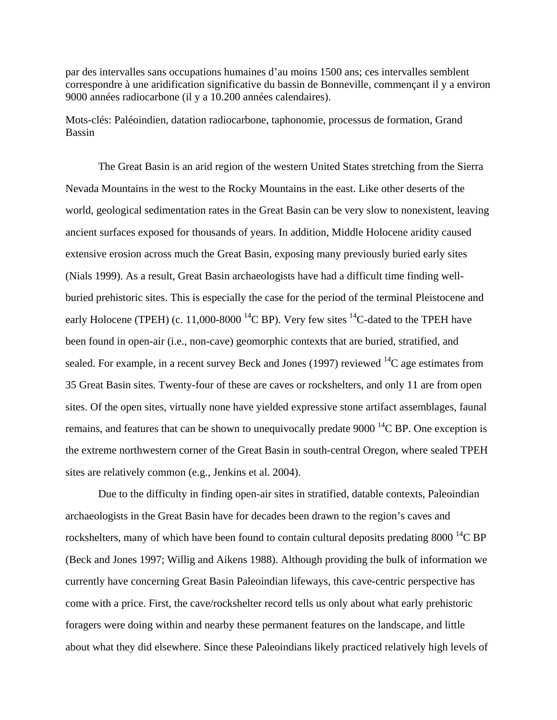par des intervalles sans occupations humaines d'au moins 1500 ans; ces intervalles semblent correspondre à une aridification significative du bassin de Bonneville, commençant il y a environ 9000 années radiocarbone (il y a 10.200 années calendaires).

Mots-clés: Paléoindien, datation radiocarbone, taphonomie, processus de formation, Grand Bassin

The Great Basin is an arid region of the western United States stretching from the Sierra Nevada Mountains in the west to the Rocky Mountains in the east. Like other deserts of the world, geological sedimentation rates in the Great Basin can be very slow to nonexistent, leaving ancient surfaces exposed for thousands of years. In addition, Middle Holocene aridity caused extensive erosion across much the Great Basin, exposing many previously buried early sites (Nials 1999). As a result, Great Basin archaeologists have had a difficult time finding wellburied prehistoric sites. This is especially the case for the period of the terminal Pleistocene and early Holocene (TPEH) (c. 11,000-8000<sup>14</sup>C BP). Very few sites <sup>14</sup>C-dated to the TPEH have been found in open-air (i.e., non-cave) geomorphic contexts that are buried, stratified, and sealed. For example, in a recent survey Beck and Jones (1997) reviewed  $^{14}C$  age estimates from 35 Great Basin sites. Twenty-four of these are caves or rockshelters, and only 11 are from open sites. Of the open sites, virtually none have yielded expressive stone artifact assemblages, faunal remains, and features that can be shown to unequivocally predate  $9000^{14}$ C BP. One exception is the extreme northwestern corner of the Great Basin in south-central Oregon, where sealed TPEH sites are relatively common (e.g., Jenkins et al. 2004).

Due to the difficulty in finding open-air sites in stratified, datable contexts, Paleoindian archaeologists in the Great Basin have for decades been drawn to the region's caves and rockshelters, many of which have been found to contain cultural deposits predating  $8000^{14}$ C BP (Beck and Jones 1997; Willig and Aikens 1988). Although providing the bulk of information we currently have concerning Great Basin Paleoindian lifeways, this cave-centric perspective has come with a price. First, the cave/rockshelter record tells us only about what early prehistoric foragers were doing within and nearby these permanent features on the landscape, and little about what they did elsewhere. Since these Paleoindians likely practiced relatively high levels of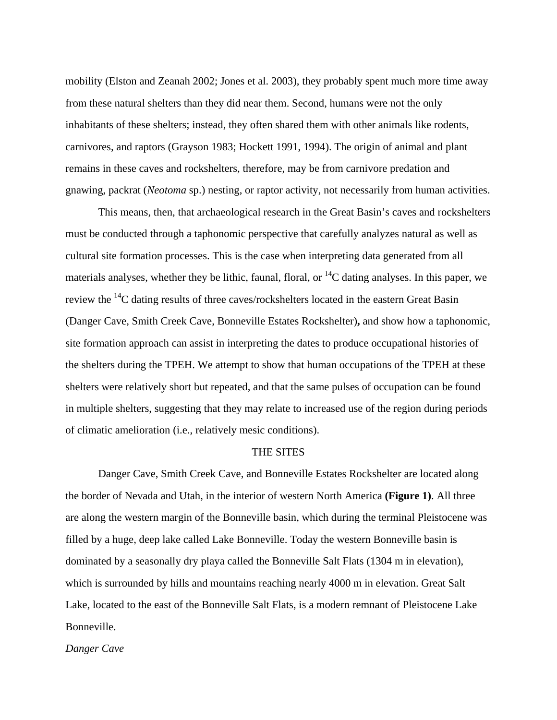mobility (Elston and Zeanah 2002; Jones et al. 2003), they probably spent much more time away from these natural shelters than they did near them. Second, humans were not the only inhabitants of these shelters; instead, they often shared them with other animals like rodents, carnivores, and raptors (Grayson 1983; Hockett 1991, 1994). The origin of animal and plant remains in these caves and rockshelters, therefore, may be from carnivore predation and gnawing, packrat (*Neotoma* sp.) nesting, or raptor activity, not necessarily from human activities.

This means, then, that archaeological research in the Great Basin's caves and rockshelters must be conducted through a taphonomic perspective that carefully analyzes natural as well as cultural site formation processes. This is the case when interpreting data generated from all materials analyses, whether they be lithic, faunal, floral, or  $^{14}$ C dating analyses. In this paper, we review the 14C dating results of three caves/rockshelters located in the eastern Great Basin (Danger Cave, Smith Creek Cave, Bonneville Estates Rockshelter)**,** and show how a taphonomic, site formation approach can assist in interpreting the dates to produce occupational histories of the shelters during the TPEH. We attempt to show that human occupations of the TPEH at these shelters were relatively short but repeated, and that the same pulses of occupation can be found in multiple shelters, suggesting that they may relate to increased use of the region during periods of climatic amelioration (i.e., relatively mesic conditions).

#### THE SITES

Danger Cave, Smith Creek Cave, and Bonneville Estates Rockshelter are located along the border of Nevada and Utah, in the interior of western North America **(Figure 1)**. All three are along the western margin of the Bonneville basin, which during the terminal Pleistocene was filled by a huge, deep lake called Lake Bonneville. Today the western Bonneville basin is dominated by a seasonally dry playa called the Bonneville Salt Flats (1304 m in elevation), which is surrounded by hills and mountains reaching nearly 4000 m in elevation. Great Salt Lake, located to the east of the Bonneville Salt Flats, is a modern remnant of Pleistocene Lake Bonneville.

#### *Danger Cave*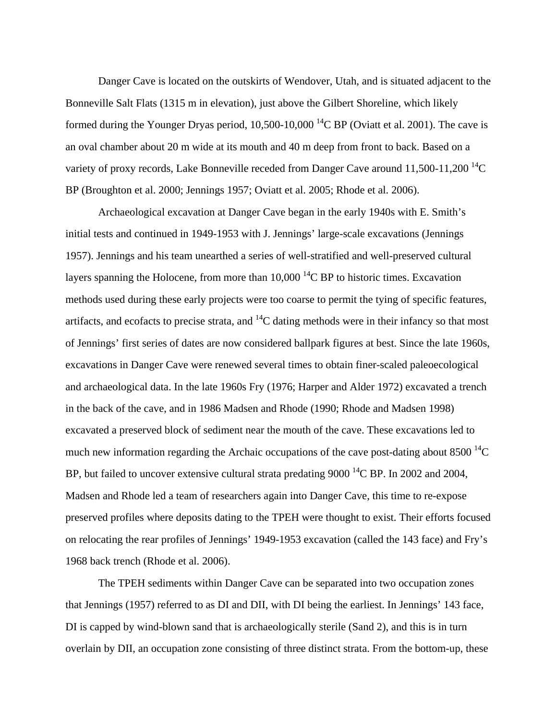Danger Cave is located on the outskirts of Wendover, Utah, and is situated adjacent to the Bonneville Salt Flats (1315 m in elevation), just above the Gilbert Shoreline, which likely formed during the Younger Dryas period,  $10,500-10,000$  <sup>14</sup>C BP (Oviatt et al. 2001). The cave is an oval chamber about 20 m wide at its mouth and 40 m deep from front to back. Based on a variety of proxy records, Lake Bonneville receded from Danger Cave around  $11,500-11,200$  <sup>14</sup>C BP (Broughton et al. 2000; Jennings 1957; Oviatt et al. 2005; Rhode et al. 2006).

Archaeological excavation at Danger Cave began in the early 1940s with E. Smith's initial tests and continued in 1949-1953 with J. Jennings' large-scale excavations (Jennings 1957). Jennings and his team unearthed a series of well-stratified and well-preserved cultural layers spanning the Holocene, from more than  $10,000$  <sup>14</sup>C BP to historic times. Excavation methods used during these early projects were too coarse to permit the tying of specific features, artifacts, and ecofacts to precise strata, and  ${}^{14}C$  dating methods were in their infancy so that most of Jennings' first series of dates are now considered ballpark figures at best. Since the late 1960s, excavations in Danger Cave were renewed several times to obtain finer-scaled paleoecological and archaeological data. In the late 1960s Fry (1976; Harper and Alder 1972) excavated a trench in the back of the cave, and in 1986 Madsen and Rhode (1990; Rhode and Madsen 1998) excavated a preserved block of sediment near the mouth of the cave. These excavations led to much new information regarding the Archaic occupations of the cave post-dating about  $8500^{14}$ C BP, but failed to uncover extensive cultural strata predating 9000<sup>14</sup>C BP. In 2002 and 2004, Madsen and Rhode led a team of researchers again into Danger Cave, this time to re-expose preserved profiles where deposits dating to the TPEH were thought to exist. Their efforts focused on relocating the rear profiles of Jennings' 1949-1953 excavation (called the 143 face) and Fry's 1968 back trench (Rhode et al. 2006).

The TPEH sediments within Danger Cave can be separated into two occupation zones that Jennings (1957) referred to as DI and DII, with DI being the earliest. In Jennings' 143 face, DI is capped by wind-blown sand that is archaeologically sterile (Sand 2), and this is in turn overlain by DII, an occupation zone consisting of three distinct strata. From the bottom-up, these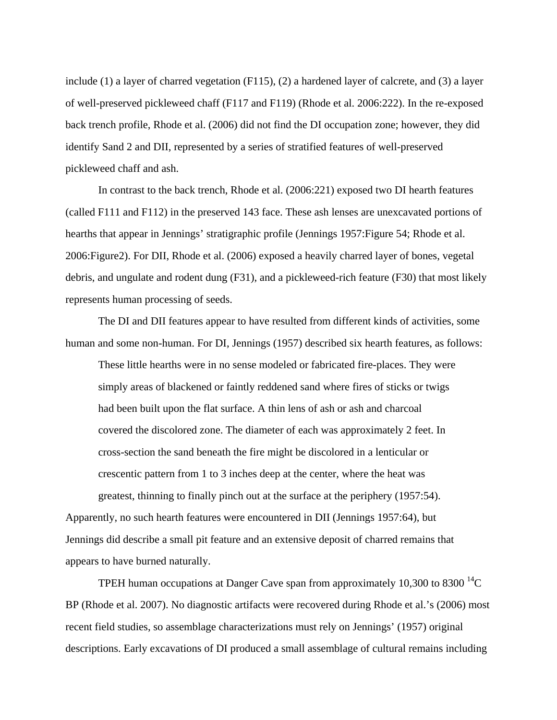include (1) a layer of charred vegetation (F115), (2) a hardened layer of calcrete, and (3) a layer of well-preserved pickleweed chaff (F117 and F119) (Rhode et al. 2006:222). In the re-exposed back trench profile, Rhode et al. (2006) did not find the DI occupation zone; however, they did identify Sand 2 and DII, represented by a series of stratified features of well-preserved pickleweed chaff and ash.

In contrast to the back trench, Rhode et al. (2006:221) exposed two DI hearth features (called F111 and F112) in the preserved 143 face. These ash lenses are unexcavated portions of hearths that appear in Jennings' stratigraphic profile (Jennings 1957:Figure 54; Rhode et al. 2006:Figure2). For DII, Rhode et al. (2006) exposed a heavily charred layer of bones, vegetal debris, and ungulate and rodent dung (F31), and a pickleweed-rich feature (F30) that most likely represents human processing of seeds.

The DI and DII features appear to have resulted from different kinds of activities, some human and some non-human. For DI, Jennings (1957) described six hearth features, as follows:

These little hearths were in no sense modeled or fabricated fire-places. They were simply areas of blackened or faintly reddened sand where fires of sticks or twigs had been built upon the flat surface. A thin lens of ash or ash and charcoal covered the discolored zone. The diameter of each was approximately 2 feet. In cross-section the sand beneath the fire might be discolored in a lenticular or crescentic pattern from 1 to 3 inches deep at the center, where the heat was

greatest, thinning to finally pinch out at the surface at the periphery (1957:54). Apparently, no such hearth features were encountered in DII (Jennings 1957:64), but Jennings did describe a small pit feature and an extensive deposit of charred remains that appears to have burned naturally.

TPEH human occupations at Danger Cave span from approximately 10,300 to 8300  $^{14}$ C BP (Rhode et al. 2007). No diagnostic artifacts were recovered during Rhode et al.'s (2006) most recent field studies, so assemblage characterizations must rely on Jennings' (1957) original descriptions. Early excavations of DI produced a small assemblage of cultural remains including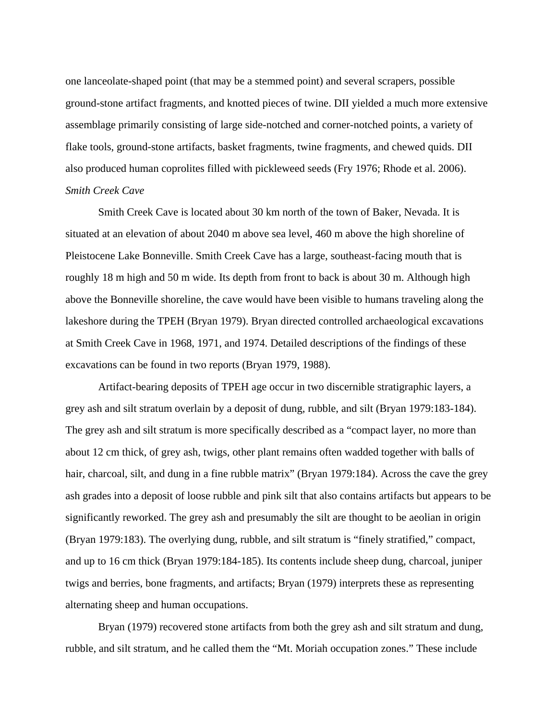one lanceolate-shaped point (that may be a stemmed point) and several scrapers, possible ground-stone artifact fragments, and knotted pieces of twine. DII yielded a much more extensive assemblage primarily consisting of large side-notched and corner-notched points, a variety of flake tools, ground-stone artifacts, basket fragments, twine fragments, and chewed quids. DII also produced human coprolites filled with pickleweed seeds (Fry 1976; Rhode et al. 2006). *Smith Creek Cave* 

Smith Creek Cave is located about 30 km north of the town of Baker, Nevada. It is situated at an elevation of about 2040 m above sea level, 460 m above the high shoreline of Pleistocene Lake Bonneville. Smith Creek Cave has a large, southeast-facing mouth that is roughly 18 m high and 50 m wide. Its depth from front to back is about 30 m. Although high above the Bonneville shoreline, the cave would have been visible to humans traveling along the lakeshore during the TPEH (Bryan 1979). Bryan directed controlled archaeological excavations at Smith Creek Cave in 1968, 1971, and 1974. Detailed descriptions of the findings of these excavations can be found in two reports (Bryan 1979, 1988).

Artifact-bearing deposits of TPEH age occur in two discernible stratigraphic layers, a grey ash and silt stratum overlain by a deposit of dung, rubble, and silt (Bryan 1979:183-184). The grey ash and silt stratum is more specifically described as a "compact layer, no more than about 12 cm thick, of grey ash, twigs, other plant remains often wadded together with balls of hair, charcoal, silt, and dung in a fine rubble matrix" (Bryan 1979:184). Across the cave the grey ash grades into a deposit of loose rubble and pink silt that also contains artifacts but appears to be significantly reworked. The grey ash and presumably the silt are thought to be aeolian in origin (Bryan 1979:183). The overlying dung, rubble, and silt stratum is "finely stratified," compact, and up to 16 cm thick (Bryan 1979:184-185). Its contents include sheep dung, charcoal, juniper twigs and berries, bone fragments, and artifacts; Bryan (1979) interprets these as representing alternating sheep and human occupations.

Bryan (1979) recovered stone artifacts from both the grey ash and silt stratum and dung, rubble, and silt stratum, and he called them the "Mt. Moriah occupation zones." These include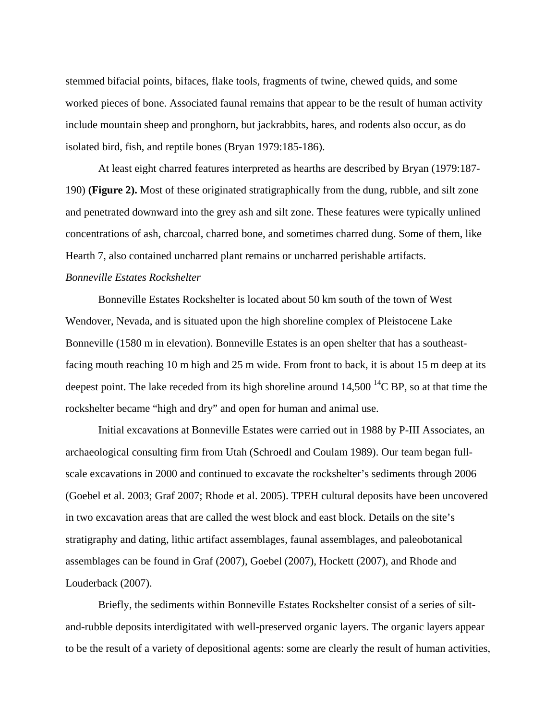stemmed bifacial points, bifaces, flake tools, fragments of twine, chewed quids, and some worked pieces of bone. Associated faunal remains that appear to be the result of human activity include mountain sheep and pronghorn, but jackrabbits, hares, and rodents also occur, as do isolated bird, fish, and reptile bones (Bryan 1979:185-186).

At least eight charred features interpreted as hearths are described by Bryan (1979:187- 190) **(Figure 2).** Most of these originated stratigraphically from the dung, rubble, and silt zone and penetrated downward into the grey ash and silt zone. These features were typically unlined concentrations of ash, charcoal, charred bone, and sometimes charred dung. Some of them, like Hearth 7, also contained uncharred plant remains or uncharred perishable artifacts.

#### *Bonneville Estates Rockshelter*

Bonneville Estates Rockshelter is located about 50 km south of the town of West Wendover, Nevada, and is situated upon the high shoreline complex of Pleistocene Lake Bonneville (1580 m in elevation). Bonneville Estates is an open shelter that has a southeastfacing mouth reaching 10 m high and 25 m wide. From front to back, it is about 15 m deep at its deepest point. The lake receded from its high shoreline around  $14,500^{14}$ C BP, so at that time the rockshelter became "high and dry" and open for human and animal use.

Initial excavations at Bonneville Estates were carried out in 1988 by P-III Associates, an archaeological consulting firm from Utah (Schroedl and Coulam 1989). Our team began fullscale excavations in 2000 and continued to excavate the rockshelter's sediments through 2006 (Goebel et al. 2003; Graf 2007; Rhode et al. 2005). TPEH cultural deposits have been uncovered in two excavation areas that are called the west block and east block. Details on the site's stratigraphy and dating, lithic artifact assemblages, faunal assemblages, and paleobotanical assemblages can be found in Graf (2007), Goebel (2007), Hockett (2007), and Rhode and Louderback (2007).

Briefly, the sediments within Bonneville Estates Rockshelter consist of a series of siltand-rubble deposits interdigitated with well-preserved organic layers. The organic layers appear to be the result of a variety of depositional agents: some are clearly the result of human activities,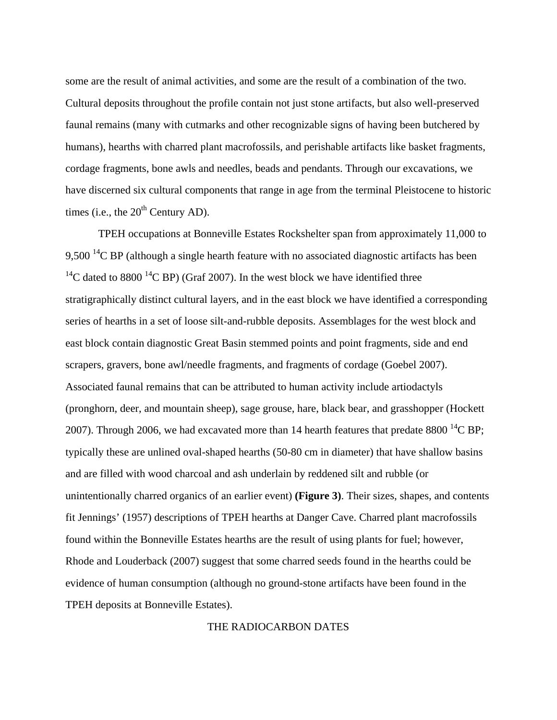some are the result of animal activities, and some are the result of a combination of the two. Cultural deposits throughout the profile contain not just stone artifacts, but also well-preserved faunal remains (many with cutmarks and other recognizable signs of having been butchered by humans), hearths with charred plant macrofossils, and perishable artifacts like basket fragments, cordage fragments, bone awls and needles, beads and pendants. Through our excavations, we have discerned six cultural components that range in age from the terminal Pleistocene to historic times (i.e., the  $20^{th}$  Century AD).

TPEH occupations at Bonneville Estates Rockshelter span from approximately 11,000 to 9,500<sup> $14$ </sup>C BP (although a single hearth feature with no associated diagnostic artifacts has been <sup>14</sup>C dated to 8800<sup> $14$ </sup>C BP) (Graf 2007). In the west block we have identified three stratigraphically distinct cultural layers, and in the east block we have identified a corresponding series of hearths in a set of loose silt-and-rubble deposits. Assemblages for the west block and east block contain diagnostic Great Basin stemmed points and point fragments, side and end scrapers, gravers, bone awl/needle fragments, and fragments of cordage (Goebel 2007). Associated faunal remains that can be attributed to human activity include artiodactyls (pronghorn, deer, and mountain sheep), sage grouse, hare, black bear, and grasshopper (Hockett 2007). Through 2006, we had excavated more than 14 hearth features that predate  $8800^{14}$ C BP; typically these are unlined oval-shaped hearths (50-80 cm in diameter) that have shallow basins and are filled with wood charcoal and ash underlain by reddened silt and rubble (or unintentionally charred organics of an earlier event) **(Figure 3)**. Their sizes, shapes, and contents fit Jennings' (1957) descriptions of TPEH hearths at Danger Cave. Charred plant macrofossils found within the Bonneville Estates hearths are the result of using plants for fuel; however, Rhode and Louderback (2007) suggest that some charred seeds found in the hearths could be evidence of human consumption (although no ground-stone artifacts have been found in the TPEH deposits at Bonneville Estates).

#### THE RADIOCARBON DATES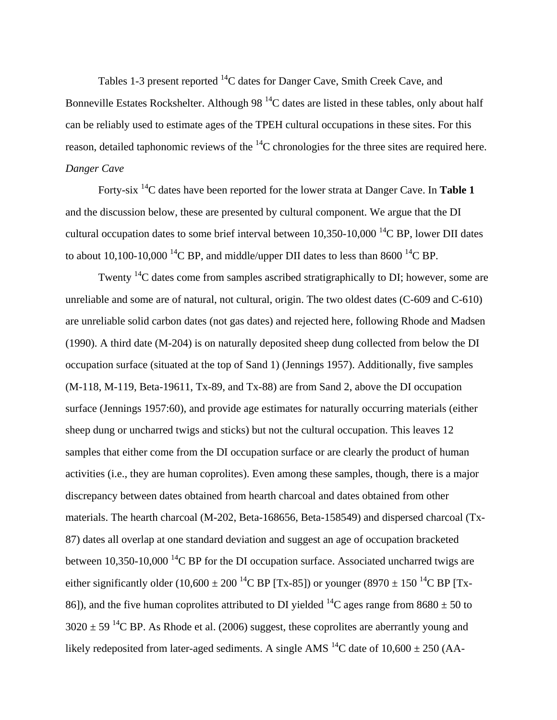Tables 1-3 present reported <sup>14</sup>C dates for Danger Cave, Smith Creek Cave, and Bonneville Estates Rockshelter. Although 98<sup> $14$ </sup>C dates are listed in these tables, only about half can be reliably used to estimate ages of the TPEH cultural occupations in these sites. For this reason, detailed taphonomic reviews of the  ${}^{14}C$  chronologies for the three sites are required here. *Danger Cave* 

Forty-six 14C dates have been reported for the lower strata at Danger Cave. In **Table 1** and the discussion below, these are presented by cultural component. We argue that the DI cultural occupation dates to some brief interval between  $10,350$ -10,000<sup>-14</sup>C BP, lower DII dates to about 10,100-10,000<sup>14</sup>C BP, and middle/upper DII dates to less than 8600<sup>14</sup>C BP.

Twenty  $14$ <sup>C</sup> dates come from samples ascribed stratigraphically to DI; however, some are unreliable and some are of natural, not cultural, origin. The two oldest dates (C-609 and C-610) are unreliable solid carbon dates (not gas dates) and rejected here, following Rhode and Madsen (1990). A third date (M-204) is on naturally deposited sheep dung collected from below the DI occupation surface (situated at the top of Sand 1) (Jennings 1957). Additionally, five samples (M-118, M-119, Beta-19611, Tx-89, and Tx-88) are from Sand 2, above the DI occupation surface (Jennings 1957:60), and provide age estimates for naturally occurring materials (either sheep dung or uncharred twigs and sticks) but not the cultural occupation. This leaves 12 samples that either come from the DI occupation surface or are clearly the product of human activities (i.e., they are human coprolites). Even among these samples, though, there is a major discrepancy between dates obtained from hearth charcoal and dates obtained from other materials. The hearth charcoal (M-202, Beta-168656, Beta-158549) and dispersed charcoal (Tx-87) dates all overlap at one standard deviation and suggest an age of occupation bracketed between 10,350-10,000<sup>-14</sup>C BP for the DI occupation surface. Associated uncharred twigs are either significantly older (10,600  $\pm$  200<sup>-14</sup>C BP [Tx-85]) or younger (8970  $\pm$  150<sup>-14</sup>C BP [Tx-86]), and the five human coprolites attributed to DI yielded <sup>14</sup>C ages range from 8680  $\pm$  50 to  $3020 \pm 59$  <sup>14</sup>C BP. As Rhode et al. (2006) suggest, these coprolites are aberrantly young and likely redeposited from later-aged sediments. A single AMS <sup>14</sup>C date of 10,600  $\pm$  250 (AA-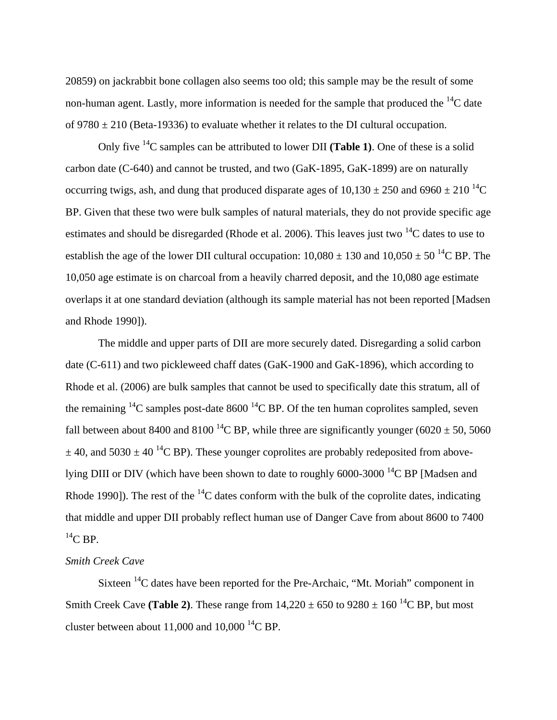20859) on jackrabbit bone collagen also seems too old; this sample may be the result of some non-human agent. Lastly, more information is needed for the sample that produced the  $^{14}C$  date of 9780  $\pm$  210 (Beta-19336) to evaluate whether it relates to the DI cultural occupation.

Only five 14C samples can be attributed to lower DII **(Table 1)**. One of these is a solid carbon date (C-640) and cannot be trusted, and two (GaK-1895, GaK-1899) are on naturally occurring twigs, ash, and dung that produced disparate ages of  $10,130 \pm 250$  and  $6960 \pm 210^{14}$ C BP. Given that these two were bulk samples of natural materials, they do not provide specific age estimates and should be disregarded (Rhode et al. 2006). This leaves just two  $^{14}$ C dates to use to establish the age of the lower DII cultural occupation:  $10,080 \pm 130$  and  $10,050 \pm 50$  <sup>14</sup>C BP. The 10,050 age estimate is on charcoal from a heavily charred deposit, and the 10,080 age estimate overlaps it at one standard deviation (although its sample material has not been reported [Madsen and Rhode 1990]).

The middle and upper parts of DII are more securely dated. Disregarding a solid carbon date (C-611) and two pickleweed chaff dates (GaK-1900 and GaK-1896), which according to Rhode et al. (2006) are bulk samples that cannot be used to specifically date this stratum, all of the remaining  $^{14}C$  samples post-date 8600  $^{14}C$  BP. Of the ten human coprolites sampled, seven fall between about 8400 and 8100<sup>-14</sup>C BP, while three are significantly younger (6020  $\pm$  50, 5060  $\pm$  40, and 5030  $\pm$  40<sup>-14</sup>C BP). These younger coprolites are probably redeposited from abovelying DIII or DIV (which have been shown to date to roughly  $6000-3000$  <sup>14</sup>C BP [Madsen and Rhode 1990]). The rest of the  $^{14}$ C dates conform with the bulk of the coprolite dates, indicating that middle and upper DII probably reflect human use of Danger Cave from about 8600 to 7400  $^{14}$ C BP.

## *Smith Creek Cave*

Sixteen 14C dates have been reported for the Pre-Archaic, "Mt. Moriah" component in Smith Creek Cave (**Table 2**). These range from  $14,220 \pm 650$  to  $9280 \pm 160$  <sup>14</sup>C BP, but most cluster between about 11,000 and 10,000  $^{14}$ C BP.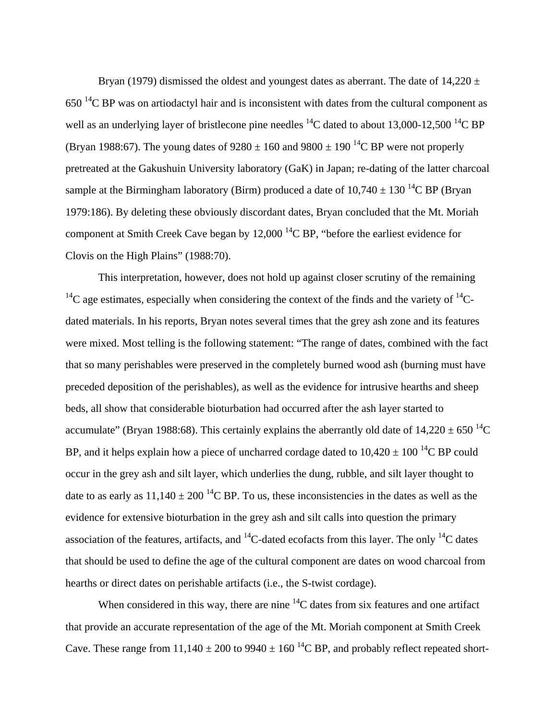Bryan (1979) dismissed the oldest and youngest dates as aberrant. The date of  $14,220 \pm 1$ 650 14C BP was on artiodactyl hair and is inconsistent with dates from the cultural component as well as an underlying layer of bristlecone pine needles  ${}^{14}C$  dated to about 13,000-12,500  ${}^{14}C$  BP (Bryan 1988:67). The young dates of  $9280 \pm 160$  and  $9800 \pm 190$  <sup>14</sup>C BP were not properly pretreated at the Gakushuin University laboratory (GaK) in Japan; re-dating of the latter charcoal sample at the Birmingham laboratory (Birm) produced a date of  $10,740 \pm 130^{14}$ C BP (Bryan 1979:186). By deleting these obviously discordant dates, Bryan concluded that the Mt. Moriah component at Smith Creek Cave began by  $12,000$  <sup>14</sup>C BP, "before the earliest evidence for Clovis on the High Plains" (1988:70).

 This interpretation, however, does not hold up against closer scrutiny of the remaining <sup>14</sup>C age estimates, especially when considering the context of the finds and the variety of <sup>14</sup>Cdated materials. In his reports, Bryan notes several times that the grey ash zone and its features were mixed. Most telling is the following statement: "The range of dates, combined with the fact that so many perishables were preserved in the completely burned wood ash (burning must have preceded deposition of the perishables), as well as the evidence for intrusive hearths and sheep beds, all show that considerable bioturbation had occurred after the ash layer started to accumulate" (Bryan 1988:68). This certainly explains the aberrantly old date of  $14,220 \pm 650^{14}$ C BP, and it helps explain how a piece of uncharred cordage dated to  $10,420 \pm 100^{14}$ C BP could occur in the grey ash and silt layer, which underlies the dung, rubble, and silt layer thought to date to as early as  $11,140 \pm 200$  <sup>14</sup>C BP. To us, these inconsistencies in the dates as well as the evidence for extensive bioturbation in the grey ash and silt calls into question the primary association of the features, artifacts, and  $^{14}$ C-dated ecofacts from this layer. The only  $^{14}$ C dates that should be used to define the age of the cultural component are dates on wood charcoal from hearths or direct dates on perishable artifacts (i.e., the S-twist cordage).

When considered in this way, there are nine  ${}^{14}C$  dates from six features and one artifact that provide an accurate representation of the age of the Mt. Moriah component at Smith Creek Cave. These range from  $11,140 \pm 200$  to  $9940 \pm 160$  <sup>14</sup>C BP, and probably reflect repeated short-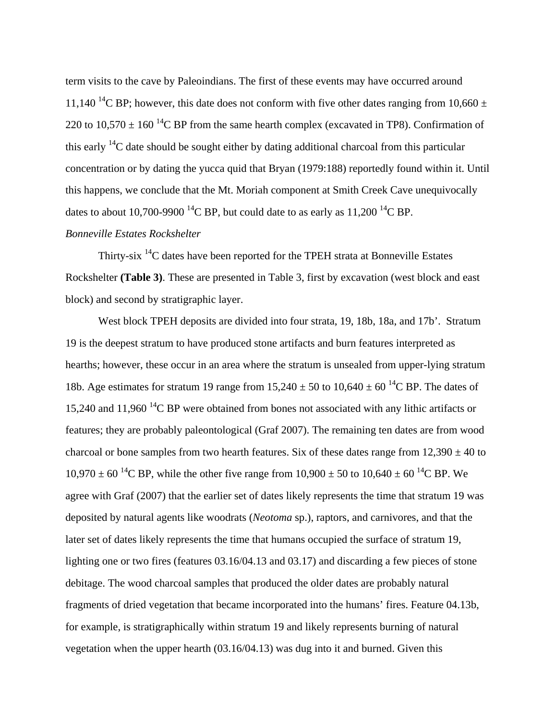term visits to the cave by Paleoindians. The first of these events may have occurred around 11,140 <sup>14</sup>C BP; however, this date does not conform with five other dates ranging from 10,660  $\pm$ 220 to  $10.570 \pm 160$  <sup>14</sup>C BP from the same hearth complex (excavated in TP8). Confirmation of this early  $^{14}$ C date should be sought either by dating additional charcoal from this particular concentration or by dating the yucca quid that Bryan (1979:188) reportedly found within it. Until this happens, we conclude that the Mt. Moriah component at Smith Creek Cave unequivocally dates to about 10,700-9900<sup>-14</sup>C BP, but could date to as early as  $11,200^{14}$ C BP.

#### *Bonneville Estates Rockshelter*

Thirty-six  $^{14}$ C dates have been reported for the TPEH strata at Bonneville Estates Rockshelter **(Table 3)**. These are presented in Table 3, first by excavation (west block and east block) and second by stratigraphic layer.

 West block TPEH deposits are divided into four strata, 19, 18b, 18a, and 17b'. Stratum 19 is the deepest stratum to have produced stone artifacts and burn features interpreted as hearths; however, these occur in an area where the stratum is unsealed from upper-lying stratum 18b. Age estimates for stratum 19 range from  $15,240 \pm 50$  to  $10,640 \pm 60$  <sup>14</sup>C BP. The dates of 15,240 and 11,960<sup> $14$ </sup>C BP were obtained from bones not associated with any lithic artifacts or features; they are probably paleontological (Graf 2007). The remaining ten dates are from wood charcoal or bone samples from two hearth features. Six of these dates range from  $12,390 \pm 40$  to  $10,970 \pm 60^{14}$ C BP, while the other five range from  $10,900 \pm 50$  to  $10,640 \pm 60^{14}$ C BP. We agree with Graf (2007) that the earlier set of dates likely represents the time that stratum 19 was deposited by natural agents like woodrats (*Neotoma* sp.), raptors, and carnivores, and that the later set of dates likely represents the time that humans occupied the surface of stratum 19, lighting one or two fires (features 03.16/04.13 and 03.17) and discarding a few pieces of stone debitage. The wood charcoal samples that produced the older dates are probably natural fragments of dried vegetation that became incorporated into the humans' fires. Feature 04.13b, for example, is stratigraphically within stratum 19 and likely represents burning of natural vegetation when the upper hearth (03.16/04.13) was dug into it and burned. Given this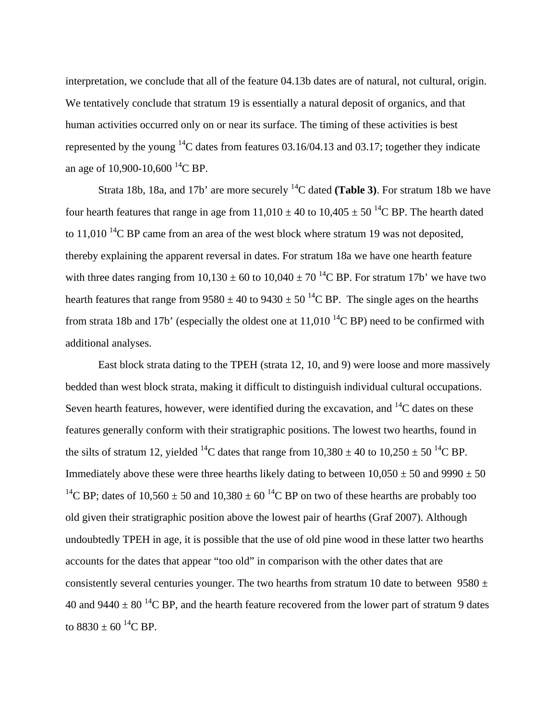interpretation, we conclude that all of the feature 04.13b dates are of natural, not cultural, origin. We tentatively conclude that stratum 19 is essentially a natural deposit of organics, and that human activities occurred only on or near its surface. The timing of these activities is best represented by the young  $^{14}$ C dates from features 03.16/04.13 and 03.17; together they indicate an age of 10,900-10,600<sup> $14$ </sup>C BP.

 Strata 18b, 18a, and 17b' are more securely 14C dated **(Table 3)**. For stratum 18b we have four hearth features that range in age from  $11,010 \pm 40$  to  $10,405 \pm 50$  <sup>14</sup>C BP. The hearth dated to  $11,010$  <sup>14</sup>C BP came from an area of the west block where stratum 19 was not deposited, thereby explaining the apparent reversal in dates. For stratum 18a we have one hearth feature with three dates ranging from  $10.130 \pm 60$  to  $10.040 \pm 70$  <sup>14</sup>C BP. For stratum 17b' we have two hearth features that range from  $9580 \pm 40$  to  $9430 \pm 50^{14}$ C BP. The single ages on the hearths from strata 18b and 17b' (especially the oldest one at  $11,010$  <sup>14</sup>C BP) need to be confirmed with additional analyses.

 East block strata dating to the TPEH (strata 12, 10, and 9) were loose and more massively bedded than west block strata, making it difficult to distinguish individual cultural occupations. Seven hearth features, however, were identified during the excavation, and  $^{14}C$  dates on these features generally conform with their stratigraphic positions. The lowest two hearths, found in the silts of stratum 12, yielded <sup>14</sup>C dates that range from  $10,380 \pm 40$  to  $10,250 \pm 50$  <sup>14</sup>C BP. Immediately above these were three hearths likely dating to between  $10,050 \pm 50$  and 9990  $\pm 50$ <sup>14</sup>C BP; dates of 10,560  $\pm$  50 and 10,380  $\pm$  60<sup>-14</sup>C BP on two of these hearths are probably too old given their stratigraphic position above the lowest pair of hearths (Graf 2007). Although undoubtedly TPEH in age, it is possible that the use of old pine wood in these latter two hearths accounts for the dates that appear "too old" in comparison with the other dates that are consistently several centuries younger. The two hearths from stratum 10 date to between  $9580 \pm$ 40 and 9440  $\pm$  80<sup>-14</sup>C BP, and the hearth feature recovered from the lower part of stratum 9 dates to  $8830 \pm 60^{14}$ C BP.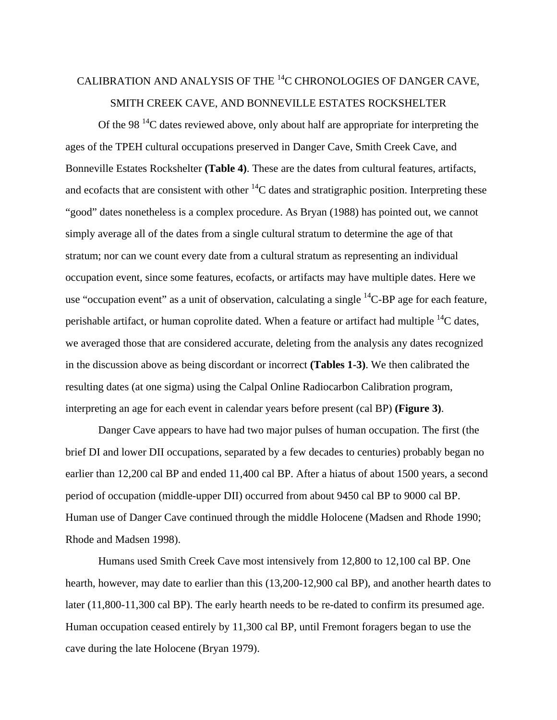# CALIBRATION AND ANALYSIS OF THE 14C CHRONOLOGIES OF DANGER CAVE, SMITH CREEK CAVE, AND BONNEVILLE ESTATES ROCKSHELTER

Of the 98<sup> $14$ </sup>C dates reviewed above, only about half are appropriate for interpreting the ages of the TPEH cultural occupations preserved in Danger Cave, Smith Creek Cave, and Bonneville Estates Rockshelter **(Table 4)**. These are the dates from cultural features, artifacts, and ecofacts that are consistent with other  ${}^{14}C$  dates and stratigraphic position. Interpreting these "good" dates nonetheless is a complex procedure. As Bryan (1988) has pointed out, we cannot simply average all of the dates from a single cultural stratum to determine the age of that stratum; nor can we count every date from a cultural stratum as representing an individual occupation event, since some features, ecofacts, or artifacts may have multiple dates. Here we use "occupation event" as a unit of observation, calculating a single  ${}^{14}C$ -BP age for each feature, perishable artifact, or human coprolite dated. When a feature or artifact had multiple  ${}^{14}C$  dates, we averaged those that are considered accurate, deleting from the analysis any dates recognized in the discussion above as being discordant or incorrect **(Tables 1-3)**. We then calibrated the resulting dates (at one sigma) using the Calpal Online Radiocarbon Calibration program, interpreting an age for each event in calendar years before present (cal BP) **(Figure 3)**.

 Danger Cave appears to have had two major pulses of human occupation. The first (the brief DI and lower DII occupations, separated by a few decades to centuries) probably began no earlier than 12,200 cal BP and ended 11,400 cal BP. After a hiatus of about 1500 years, a second period of occupation (middle-upper DII) occurred from about 9450 cal BP to 9000 cal BP. Human use of Danger Cave continued through the middle Holocene (Madsen and Rhode 1990; Rhode and Madsen 1998).

 Humans used Smith Creek Cave most intensively from 12,800 to 12,100 cal BP. One hearth, however, may date to earlier than this (13,200-12,900 cal BP), and another hearth dates to later (11,800-11,300 cal BP). The early hearth needs to be re-dated to confirm its presumed age. Human occupation ceased entirely by 11,300 cal BP, until Fremont foragers began to use the cave during the late Holocene (Bryan 1979).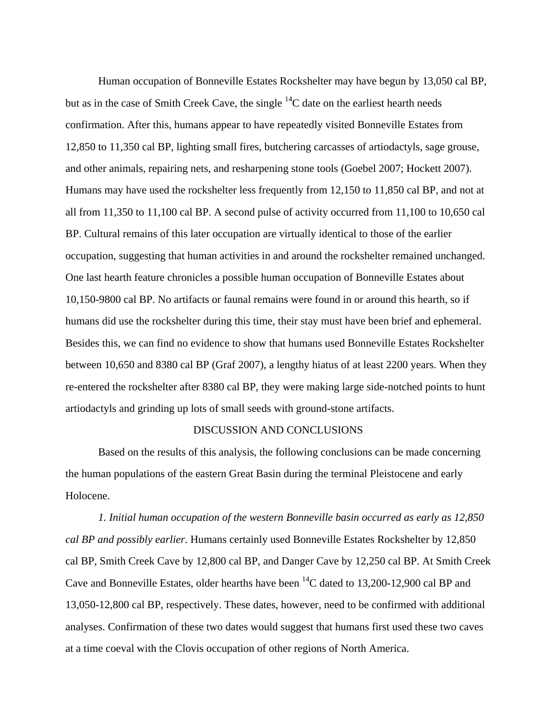Human occupation of Bonneville Estates Rockshelter may have begun by 13,050 cal BP, but as in the case of Smith Creek Cave, the single  ${}^{14}C$  date on the earliest hearth needs confirmation. After this, humans appear to have repeatedly visited Bonneville Estates from 12,850 to 11,350 cal BP, lighting small fires, butchering carcasses of artiodactyls, sage grouse, and other animals, repairing nets, and resharpening stone tools (Goebel 2007; Hockett 2007). Humans may have used the rockshelter less frequently from 12,150 to 11,850 cal BP, and not at all from 11,350 to 11,100 cal BP. A second pulse of activity occurred from 11,100 to 10,650 cal BP. Cultural remains of this later occupation are virtually identical to those of the earlier occupation, suggesting that human activities in and around the rockshelter remained unchanged. One last hearth feature chronicles a possible human occupation of Bonneville Estates about 10,150-9800 cal BP. No artifacts or faunal remains were found in or around this hearth, so if humans did use the rockshelter during this time, their stay must have been brief and ephemeral. Besides this, we can find no evidence to show that humans used Bonneville Estates Rockshelter between 10,650 and 8380 cal BP (Graf 2007), a lengthy hiatus of at least 2200 years. When they re-entered the rockshelter after 8380 cal BP, they were making large side-notched points to hunt artiodactyls and grinding up lots of small seeds with ground-stone artifacts.

#### DISCUSSION AND CONCLUSIONS

Based on the results of this analysis, the following conclusions can be made concerning the human populations of the eastern Great Basin during the terminal Pleistocene and early Holocene.

*1. Initial human occupation of the western Bonneville basin occurred as early as 12,850 cal BP and possibly earlier.* Humans certainly used Bonneville Estates Rockshelter by 12,850 cal BP, Smith Creek Cave by 12,800 cal BP, and Danger Cave by 12,250 cal BP. At Smith Creek Cave and Bonneville Estates, older hearths have been  ${}^{14}$ C dated to 13,200-12,900 cal BP and 13,050-12,800 cal BP, respectively. These dates, however, need to be confirmed with additional analyses. Confirmation of these two dates would suggest that humans first used these two caves at a time coeval with the Clovis occupation of other regions of North America.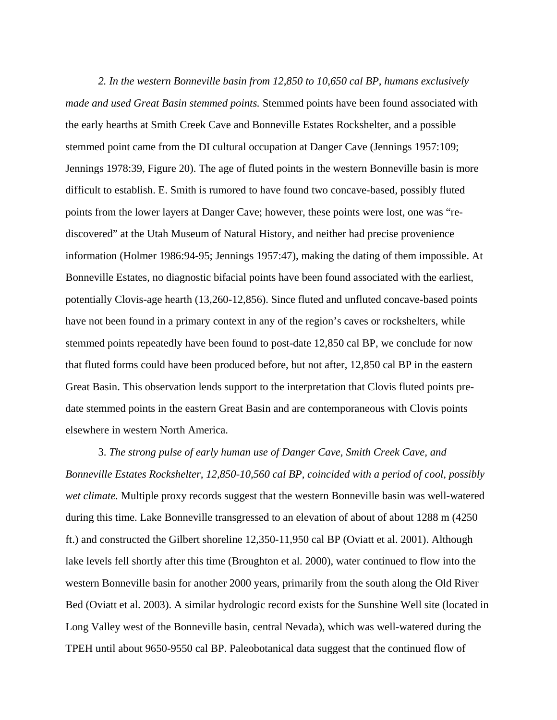*2. In the western Bonneville basin from 12,850 to 10,650 cal BP, humans exclusively made and used Great Basin stemmed points.* Stemmed points have been found associated with the early hearths at Smith Creek Cave and Bonneville Estates Rockshelter, and a possible stemmed point came from the DI cultural occupation at Danger Cave (Jennings 1957:109; Jennings 1978:39, Figure 20). The age of fluted points in the western Bonneville basin is more difficult to establish. E. Smith is rumored to have found two concave-based, possibly fluted points from the lower layers at Danger Cave; however, these points were lost, one was "rediscovered" at the Utah Museum of Natural History, and neither had precise provenience information (Holmer 1986:94-95; Jennings 1957:47), making the dating of them impossible. At Bonneville Estates, no diagnostic bifacial points have been found associated with the earliest, potentially Clovis-age hearth (13,260-12,856). Since fluted and unfluted concave-based points have not been found in a primary context in any of the region's caves or rockshelters, while stemmed points repeatedly have been found to post-date 12,850 cal BP, we conclude for now that fluted forms could have been produced before, but not after, 12,850 cal BP in the eastern Great Basin. This observation lends support to the interpretation that Clovis fluted points predate stemmed points in the eastern Great Basin and are contemporaneous with Clovis points elsewhere in western North America.

3. *The strong pulse of early human use of Danger Cave, Smith Creek Cave, and Bonneville Estates Rockshelter, 12,850-10,560 cal BP, coincided with a period of cool, possibly wet climate.* Multiple proxy records suggest that the western Bonneville basin was well-watered during this time. Lake Bonneville transgressed to an elevation of about of about 1288 m (4250) ft.) and constructed the Gilbert shoreline 12,350-11,950 cal BP (Oviatt et al. 2001). Although lake levels fell shortly after this time (Broughton et al. 2000), water continued to flow into the western Bonneville basin for another 2000 years, primarily from the south along the Old River Bed (Oviatt et al. 2003). A similar hydrologic record exists for the Sunshine Well site (located in Long Valley west of the Bonneville basin, central Nevada), which was well-watered during the TPEH until about 9650-9550 cal BP. Paleobotanical data suggest that the continued flow of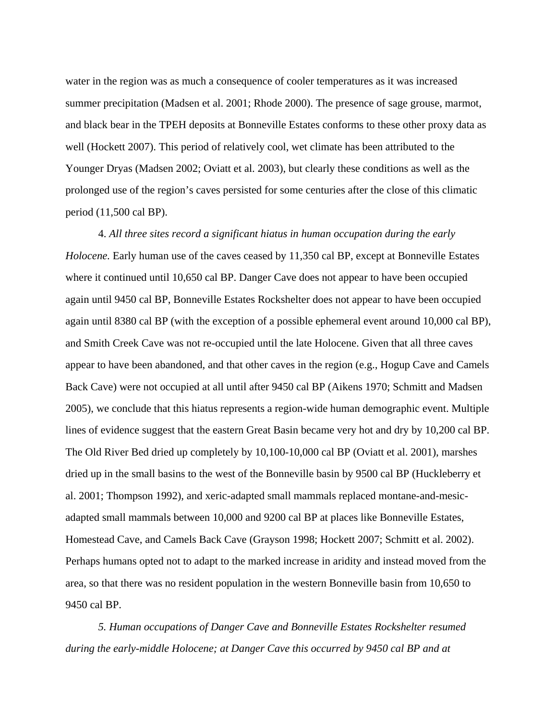water in the region was as much a consequence of cooler temperatures as it was increased summer precipitation (Madsen et al. 2001; Rhode 2000). The presence of sage grouse, marmot, and black bear in the TPEH deposits at Bonneville Estates conforms to these other proxy data as well (Hockett 2007). This period of relatively cool, wet climate has been attributed to the Younger Dryas (Madsen 2002; Oviatt et al. 2003), but clearly these conditions as well as the prolonged use of the region's caves persisted for some centuries after the close of this climatic period (11,500 cal BP).

4. *All three sites record a significant hiatus in human occupation during the early Holocene.* Early human use of the caves ceased by 11,350 cal BP, except at Bonneville Estates where it continued until 10,650 cal BP. Danger Cave does not appear to have been occupied again until 9450 cal BP, Bonneville Estates Rockshelter does not appear to have been occupied again until 8380 cal BP (with the exception of a possible ephemeral event around 10,000 cal BP), and Smith Creek Cave was not re-occupied until the late Holocene. Given that all three caves appear to have been abandoned, and that other caves in the region (e.g., Hogup Cave and Camels Back Cave) were not occupied at all until after 9450 cal BP (Aikens 1970; Schmitt and Madsen 2005), we conclude that this hiatus represents a region-wide human demographic event. Multiple lines of evidence suggest that the eastern Great Basin became very hot and dry by 10,200 cal BP. The Old River Bed dried up completely by 10,100-10,000 cal BP (Oviatt et al. 2001), marshes dried up in the small basins to the west of the Bonneville basin by 9500 cal BP (Huckleberry et al. 2001; Thompson 1992), and xeric-adapted small mammals replaced montane-and-mesicadapted small mammals between 10,000 and 9200 cal BP at places like Bonneville Estates, Homestead Cave, and Camels Back Cave (Grayson 1998; Hockett 2007; Schmitt et al. 2002). Perhaps humans opted not to adapt to the marked increase in aridity and instead moved from the area, so that there was no resident population in the western Bonneville basin from 10,650 to 9450 cal BP.

*5. Human occupations of Danger Cave and Bonneville Estates Rockshelter resumed during the early-middle Holocene; at Danger Cave this occurred by 9450 cal BP and at*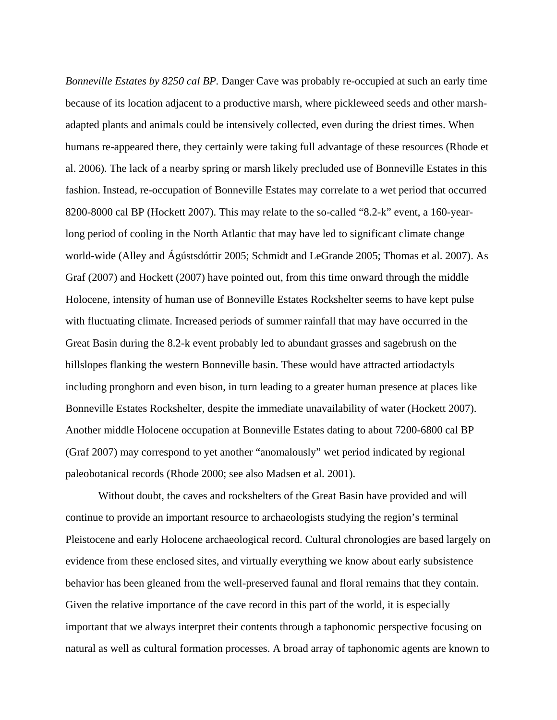*Bonneville Estates by 8250 cal BP.* Danger Cave was probably re-occupied at such an early time because of its location adjacent to a productive marsh, where pickleweed seeds and other marshadapted plants and animals could be intensively collected, even during the driest times. When humans re-appeared there, they certainly were taking full advantage of these resources (Rhode et al. 2006). The lack of a nearby spring or marsh likely precluded use of Bonneville Estates in this fashion. Instead, re-occupation of Bonneville Estates may correlate to a wet period that occurred 8200-8000 cal BP (Hockett 2007). This may relate to the so-called "8.2-k" event, a 160-yearlong period of cooling in the North Atlantic that may have led to significant climate change world-wide (Alley and Ágústsdóttir 2005; Schmidt and LeGrande 2005; Thomas et al. 2007). As Graf (2007) and Hockett (2007) have pointed out, from this time onward through the middle Holocene, intensity of human use of Bonneville Estates Rockshelter seems to have kept pulse with fluctuating climate. Increased periods of summer rainfall that may have occurred in the Great Basin during the 8.2-k event probably led to abundant grasses and sagebrush on the hillslopes flanking the western Bonneville basin. These would have attracted artiodactyls including pronghorn and even bison, in turn leading to a greater human presence at places like Bonneville Estates Rockshelter, despite the immediate unavailability of water (Hockett 2007). Another middle Holocene occupation at Bonneville Estates dating to about 7200-6800 cal BP (Graf 2007) may correspond to yet another "anomalously" wet period indicated by regional paleobotanical records (Rhode 2000; see also Madsen et al. 2001).

Without doubt, the caves and rockshelters of the Great Basin have provided and will continue to provide an important resource to archaeologists studying the region's terminal Pleistocene and early Holocene archaeological record. Cultural chronologies are based largely on evidence from these enclosed sites, and virtually everything we know about early subsistence behavior has been gleaned from the well-preserved faunal and floral remains that they contain. Given the relative importance of the cave record in this part of the world, it is especially important that we always interpret their contents through a taphonomic perspective focusing on natural as well as cultural formation processes. A broad array of taphonomic agents are known to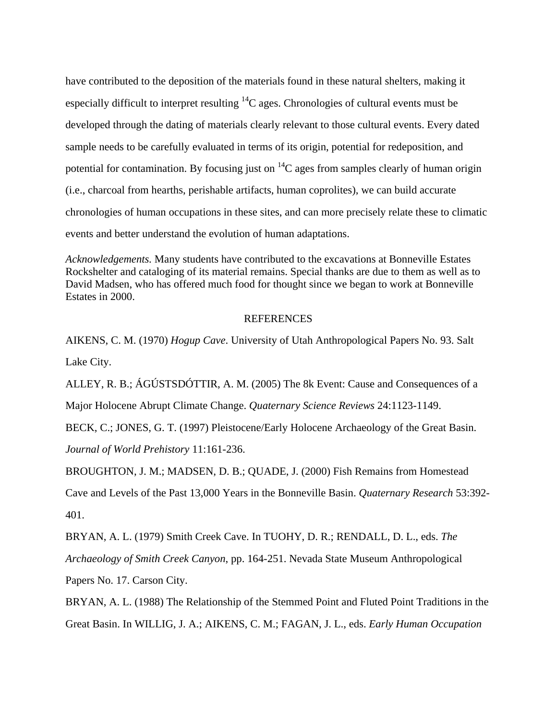have contributed to the deposition of the materials found in these natural shelters, making it especially difficult to interpret resulting  ${}^{14}C$  ages. Chronologies of cultural events must be developed through the dating of materials clearly relevant to those cultural events. Every dated sample needs to be carefully evaluated in terms of its origin, potential for redeposition, and potential for contamination. By focusing just on  ${}^{14}C$  ages from samples clearly of human origin (i.e., charcoal from hearths, perishable artifacts, human coprolites), we can build accurate chronologies of human occupations in these sites, and can more precisely relate these to climatic events and better understand the evolution of human adaptations.

*Acknowledgements.* Many students have contributed to the excavations at Bonneville Estates Rockshelter and cataloging of its material remains. Special thanks are due to them as well as to David Madsen, who has offered much food for thought since we began to work at Bonneville Estates in 2000.

#### REFERENCES

AIKENS, C. M. (1970) *Hogup Cave*. University of Utah Anthropological Papers No. 93. Salt Lake City.

ALLEY, R. B.; ÁGÚSTSDÓTTIR, A. M. (2005) The 8k Event: Cause and Consequences of a

Major Holocene Abrupt Climate Change. *Quaternary Science Reviews* 24:1123-1149.

BECK, C.; JONES, G. T. (1997) Pleistocene/Early Holocene Archaeology of the Great Basin.

*Journal of World Prehistory* 11:161-236.

BROUGHTON, J. M.; MADSEN, D. B.; QUADE, J. (2000) Fish Remains from Homestead

Cave and Levels of the Past 13,000 Years in the Bonneville Basin. *Quaternary Research* 53:392- 401.

BRYAN, A. L. (1979) Smith Creek Cave. In TUOHY, D. R.; RENDALL, D. L., eds. *The* 

*Archaeology of Smith Creek Canyon*, pp. 164-251. Nevada State Museum Anthropological

Papers No. 17. Carson City.

BRYAN, A. L. (1988) The Relationship of the Stemmed Point and Fluted Point Traditions in the Great Basin. In WILLIG, J. A.; AIKENS, C. M.; FAGAN, J. L., eds. *Early Human Occupation*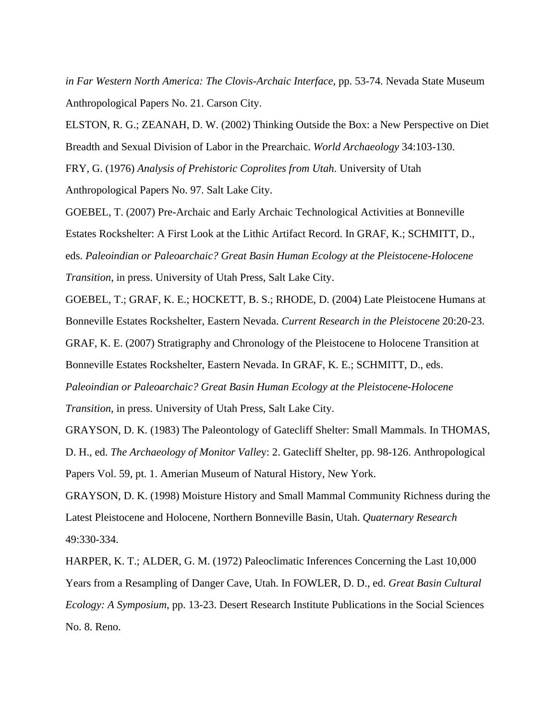*in Far Western North America: The Clovis-Archaic Interface*, pp. 53-74. Nevada State Museum Anthropological Papers No. 21. Carson City.

ELSTON, R. G.; ZEANAH, D. W. (2002) Thinking Outside the Box: a New Perspective on Diet Breadth and Sexual Division of Labor in the Prearchaic. *World Archaeology* 34:103-130. FRY, G. (1976) *Analysis of Prehistoric Coprolites from Utah*. University of Utah

Anthropological Papers No. 97. Salt Lake City.

GOEBEL, T. (2007) Pre-Archaic and Early Archaic Technological Activities at Bonneville Estates Rockshelter: A First Look at the Lithic Artifact Record. In GRAF, K.; SCHMITT, D., eds. *Paleoindian or Paleoarchaic? Great Basin Human Ecology at the Pleistocene-Holocene Transition*, in press. University of Utah Press, Salt Lake City.

GOEBEL, T.; GRAF, K. E.; HOCKETT, B. S.; RHODE, D. (2004) Late Pleistocene Humans at Bonneville Estates Rockshelter, Eastern Nevada. *Current Research in the Pleistocene* 20:20-23.

GRAF, K. E. (2007) Stratigraphy and Chronology of the Pleistocene to Holocene Transition at

Bonneville Estates Rockshelter, Eastern Nevada. In GRAF, K. E.; SCHMITT, D., eds.

*Paleoindian or Paleoarchaic? Great Basin Human Ecology at the Pleistocene-Holocene Transition*, in press. University of Utah Press, Salt Lake City.

GRAYSON, D. K. (1983) The Paleontology of Gatecliff Shelter: Small Mammals. In THOMAS, D. H., ed. *The Archaeology of Monitor Valle*y: 2. Gatecliff Shelter, pp. 98-126. Anthropological Papers Vol. 59, pt. 1. Amerian Museum of Natural History, New York.

GRAYSON, D. K. (1998) Moisture History and Small Mammal Community Richness during the Latest Pleistocene and Holocene, Northern Bonneville Basin, Utah. *Quaternary Research* 49:330-334.

HARPER, K. T.; ALDER, G. M. (1972) Paleoclimatic Inferences Concerning the Last 10,000 Years from a Resampling of Danger Cave, Utah. In FOWLER, D. D., ed. *Great Basin Cultural Ecology: A Symposium*, pp. 13-23. Desert Research Institute Publications in the Social Sciences No. 8. Reno.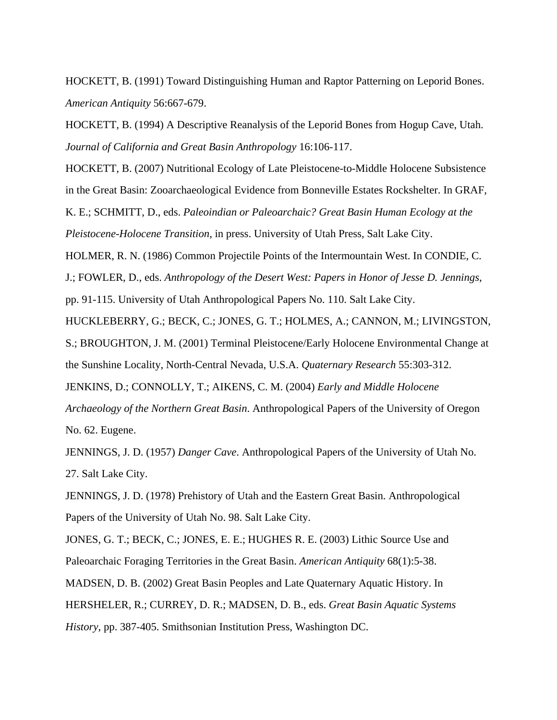HOCKETT, B. (1991) Toward Distinguishing Human and Raptor Patterning on Leporid Bones. *American Antiquity* 56:667-679.

HOCKETT, B. (1994) A Descriptive Reanalysis of the Leporid Bones from Hogup Cave, Utah. *Journal of California and Great Basin Anthropology* 16:106-117.

HOCKETT, B. (2007) Nutritional Ecology of Late Pleistocene-to-Middle Holocene Subsistence

in the Great Basin: Zooarchaeological Evidence from Bonneville Estates Rockshelter. In GRAF,

K. E.; SCHMITT, D., eds. *Paleoindian or Paleoarchaic? Great Basin Human Ecology at the* 

*Pleistocene-Holocene Transition*, in press. University of Utah Press, Salt Lake City.

HOLMER, R. N. (1986) Common Projectile Points of the Intermountain West. In CONDIE, C.

J.; FOWLER, D., eds. *Anthropology of the Desert West: Papers in Honor of Jesse D. Jennings*,

pp. 91-115. University of Utah Anthropological Papers No. 110. Salt Lake City.

HUCKLEBERRY, G.; BECK, C.; JONES, G. T.; HOLMES, A.; CANNON, M.; LIVINGSTON,

S.; BROUGHTON, J. M. (2001) Terminal Pleistocene/Early Holocene Environmental Change at the Sunshine Locality, North-Central Nevada, U.S.A. *Quaternary Research* 55:303-312.

JENKINS, D.; CONNOLLY, T.; AIKENS, C. M. (2004) *Early and Middle Holocene* 

*Archaeology of the Northern Great Basin*. Anthropological Papers of the University of Oregon No. 62. Eugene.

JENNINGS, J. D. (1957) *Danger Cave*. Anthropological Papers of the University of Utah No. 27. Salt Lake City.

JENNINGS, J. D. (1978) Prehistory of Utah and the Eastern Great Basin. Anthropological Papers of the University of Utah No. 98. Salt Lake City.

JONES, G. T.; BECK, C.; JONES, E. E.; HUGHES R. E. (2003) Lithic Source Use and Paleoarchaic Foraging Territories in the Great Basin. *American Antiquity* 68(1):5-38. MADSEN, D. B. (2002) Great Basin Peoples and Late Quaternary Aquatic History. In HERSHELER, R.; CURREY, D. R.; MADSEN, D. B., eds. *Great Basin Aquatic Systems History*, pp. 387-405. Smithsonian Institution Press, Washington DC.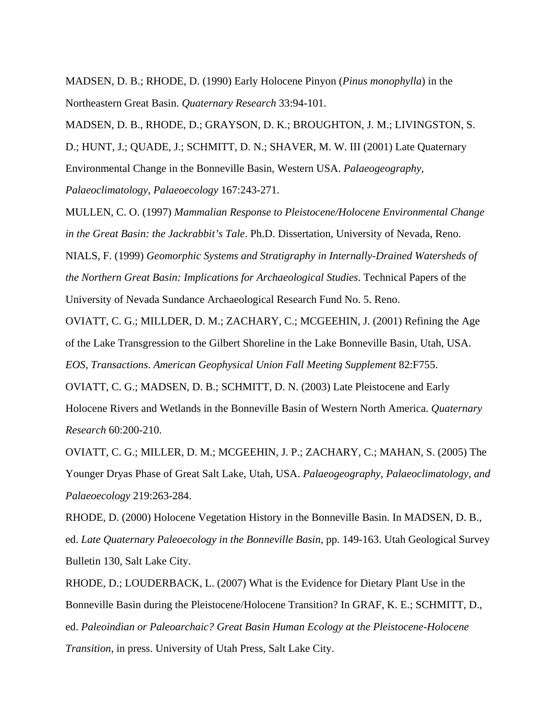MADSEN, D. B.; RHODE, D. (1990) Early Holocene Pinyon (*Pinus monophylla*) in the Northeastern Great Basin. *Quaternary Research* 33:94-101.

MADSEN, D. B., RHODE, D.; GRAYSON, D. K.; BROUGHTON, J. M.; LIVINGSTON, S. D.; HUNT, J.; QUADE, J.; SCHMITT, D. N.; SHAVER, M. W. III (2001) Late Quaternary Environmental Change in the Bonneville Basin, Western USA. *Palaeogeography,* 

*Palaeoclimatology, Palaeoecology* 167:243-271.

MULLEN, C. O. (1997) *Mammalian Response to Pleistocene/Holocene Environmental Change in the Great Basin: the Jackrabbit's Tale*. Ph.D. Dissertation, University of Nevada, Reno. NIALS, F. (1999) *Geomorphic Systems and Stratigraphy in Internally-Drained Watersheds of the Northern Great Basin: Implications for Archaeological Studies*. Technical Papers of the University of Nevada Sundance Archaeological Research Fund No. 5. Reno.

OVIATT, C. G.; MILLDER, D. M.; ZACHARY, C.; MCGEEHIN, J. (2001) Refining the Age of the Lake Transgression to the Gilbert Shoreline in the Lake Bonneville Basin, Utah, USA. *EOS, Transactions*. *American Geophysical Union Fall Meeting Supplement* 82:F755.

OVIATT, C. G.; MADSEN, D. B.; SCHMITT, D. N. (2003) Late Pleistocene and Early Holocene Rivers and Wetlands in the Bonneville Basin of Western North America. *Quaternary Research* 60:200-210.

OVIATT, C. G.; MILLER, D. M.; MCGEEHIN, J. P.; ZACHARY, C.; MAHAN, S. (2005) The Younger Dryas Phase of Great Salt Lake, Utah, USA. *Palaeogeography, Palaeoclimatology, and Palaeoecology* 219:263-284.

RHODE, D. (2000) Holocene Vegetation History in the Bonneville Basin. In MADSEN, D. B., ed. *Late Quaternary Paleoecology in the Bonneville Basin*, pp. 149-163. Utah Geological Survey Bulletin 130, Salt Lake City.

RHODE, D.; LOUDERBACK, L. (2007) What is the Evidence for Dietary Plant Use in the Bonneville Basin during the Pleistocene/Holocene Transition? In GRAF, K. E.; SCHMITT, D., ed. *Paleoindian or Paleoarchaic? Great Basin Human Ecology at the Pleistocene-Holocene Transition*, in press. University of Utah Press, Salt Lake City.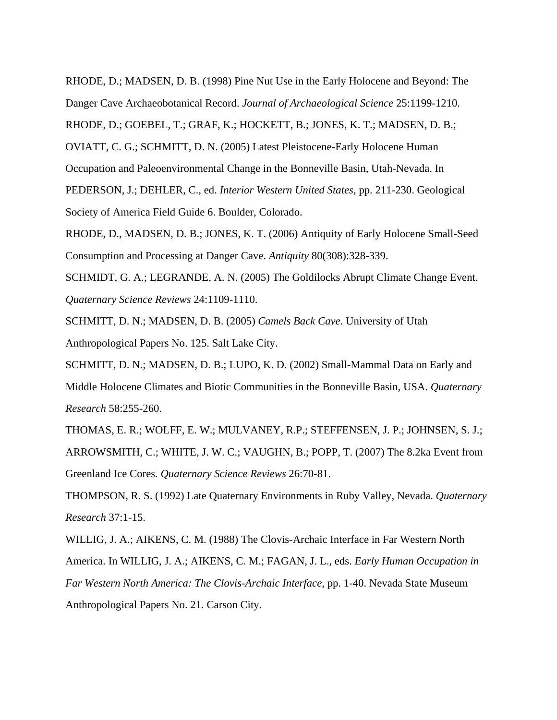RHODE, D.; MADSEN, D. B. (1998) Pine Nut Use in the Early Holocene and Beyond: The Danger Cave Archaeobotanical Record. *Journal of Archaeological Science* 25:1199-1210. RHODE, D.; GOEBEL, T.; GRAF, K.; HOCKETT, B.; JONES, K. T.; MADSEN, D. B.; OVIATT, C. G.; SCHMITT, D. N. (2005) Latest Pleistocene-Early Holocene Human Occupation and Paleoenvironmental Change in the Bonneville Basin, Utah-Nevada. In PEDERSON, J.; DEHLER, C., ed. *Interior Western United States*, pp. 211-230. Geological Society of America Field Guide 6. Boulder, Colorado.

RHODE, D., MADSEN, D. B.; JONES, K. T. (2006) Antiquity of Early Holocene Small-Seed Consumption and Processing at Danger Cave. *Antiquity* 80(308):328-339.

SCHMIDT, G. A.; LEGRANDE, A. N. (2005) The Goldilocks Abrupt Climate Change Event. *Quaternary Science Reviews* 24:1109-1110.

SCHMITT, D. N.; MADSEN, D. B. (2005) *Camels Back Cave*. University of Utah Anthropological Papers No. 125. Salt Lake City.

SCHMITT, D. N.; MADSEN, D. B.; LUPO, K. D. (2002) Small-Mammal Data on Early and Middle Holocene Climates and Biotic Communities in the Bonneville Basin, USA. *Quaternary Research* 58:255-260.

THOMAS, E. R.; WOLFF, E. W.; MULVANEY, R.P.; STEFFENSEN, J. P.; JOHNSEN, S. J.; ARROWSMITH, C.; WHITE, J. W. C.; VAUGHN, B.; POPP, T. (2007) The 8.2ka Event from Greenland Ice Cores. *Quaternary Science Reviews* 26:70-81.

THOMPSON, R. S. (1992) Late Quaternary Environments in Ruby Valley, Nevada. *Quaternary Research* 37:1-15.

WILLIG, J. A.; AIKENS, C. M. (1988) The Clovis-Archaic Interface in Far Western North America. In WILLIG, J. A.; AIKENS, C. M.; FAGAN, J. L., eds. *Early Human Occupation in Far Western North America: The Clovis-Archaic Interface*, pp. 1-40. Nevada State Museum Anthropological Papers No. 21. Carson City.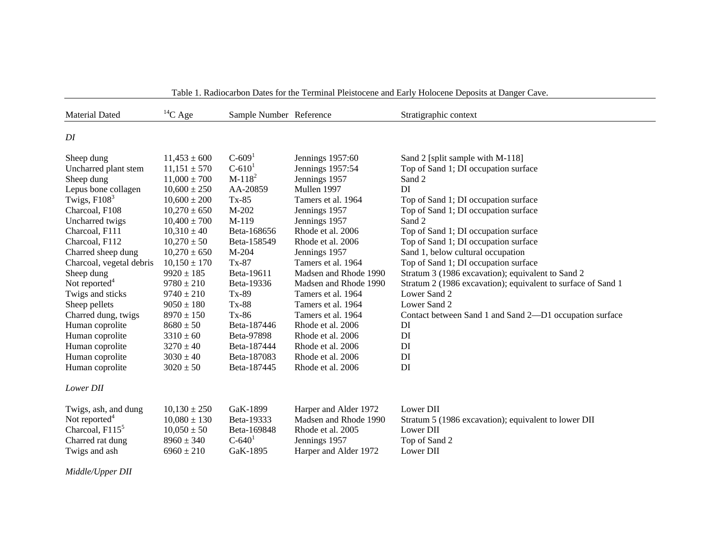|                                                                                                                       |                                                                                             |                                                                             |                                                                                                               | Table 1. Kaulocalboll Dates for the Terminal Ficistocche and Laffy Holocche Deposits at Daliger Cave.        |
|-----------------------------------------------------------------------------------------------------------------------|---------------------------------------------------------------------------------------------|-----------------------------------------------------------------------------|---------------------------------------------------------------------------------------------------------------|--------------------------------------------------------------------------------------------------------------|
| <b>Material Dated</b>                                                                                                 | ${}^{14}C$ Age                                                                              | Sample Number Reference                                                     |                                                                                                               | Stratigraphic context                                                                                        |
| DI                                                                                                                    |                                                                                             |                                                                             |                                                                                                               |                                                                                                              |
| Sheep dung                                                                                                            | $11,453 \pm 600$                                                                            | $C - 6091$                                                                  | Jennings 1957:60                                                                                              | Sand 2 [split sample with M-118]                                                                             |
| Uncharred plant stem                                                                                                  | $11,151 \pm 570$                                                                            | $C - 610^1$                                                                 | Jennings 1957:54                                                                                              | Top of Sand 1; DI occupation surface                                                                         |
| Sheep dung                                                                                                            | $11,000 \pm 700$                                                                            | $M-118^2$                                                                   | Jennings 1957                                                                                                 | Sand 2                                                                                                       |
| Lepus bone collagen                                                                                                   | $10,600 \pm 250$                                                                            | AA-20859                                                                    | Mullen 1997                                                                                                   | DI                                                                                                           |
| Twigs, $F1083$                                                                                                        | $10,600 \pm 200$                                                                            | $Tx-85$                                                                     | Tamers et al. 1964                                                                                            | Top of Sand 1; DI occupation surface                                                                         |
| Charcoal, F108                                                                                                        | $10,270 \pm 650$                                                                            | M-202                                                                       | Jennings 1957                                                                                                 | Top of Sand 1; DI occupation surface                                                                         |
| Uncharred twigs                                                                                                       | $10,400 \pm 700$                                                                            | M-119                                                                       | Jennings 1957                                                                                                 | Sand 2                                                                                                       |
| Charcoal, F111                                                                                                        | $10,310 \pm 40$                                                                             | Beta-168656                                                                 | Rhode et al. 2006                                                                                             | Top of Sand 1; DI occupation surface                                                                         |
| Charcoal, F112                                                                                                        | $10,270 \pm 50$                                                                             | Beta-158549                                                                 | Rhode et al. 2006                                                                                             | Top of Sand 1; DI occupation surface                                                                         |
| Charred sheep dung                                                                                                    | $10,270 \pm 650$                                                                            | M-204                                                                       | Jennings 1957                                                                                                 | Sand 1, below cultural occupation                                                                            |
| Charcoal, vegetal debris                                                                                              | $10,150 \pm 170$                                                                            | $Tx-87$                                                                     | Tamers et al. 1964                                                                                            | Top of Sand 1; DI occupation surface                                                                         |
| Sheep dung                                                                                                            | $9920 \pm 185$                                                                              | Beta-19611                                                                  | Madsen and Rhode 1990                                                                                         | Stratum 3 (1986 excavation); equivalent to Sand 2                                                            |
| Not reported <sup>4</sup>                                                                                             | $9780 \pm 210$                                                                              | Beta-19336                                                                  | Madsen and Rhode 1990                                                                                         | Stratum 2 (1986 excavation); equivalent to surface of Sand 1                                                 |
| Twigs and sticks                                                                                                      | $9740 \pm 210$                                                                              | Tx-89                                                                       | Tamers et al. 1964                                                                                            | Lower Sand 2                                                                                                 |
| Sheep pellets                                                                                                         | $9050 \pm 180$                                                                              | $Tx-88$                                                                     | Tamers et al. 1964                                                                                            | Lower Sand 2                                                                                                 |
| Charred dung, twigs                                                                                                   | $8970 \pm 150$                                                                              | $Tx-86$                                                                     | Tamers et al. 1964                                                                                            | Contact between Sand 1 and Sand 2-D1 occupation surface                                                      |
| Human coprolite                                                                                                       | $8680 \pm 50$                                                                               | Beta-187446                                                                 | Rhode et al. 2006                                                                                             | DI                                                                                                           |
| Human coprolite                                                                                                       | $3310 \pm 60$                                                                               | Beta-97898                                                                  | Rhode et al. 2006                                                                                             | DI                                                                                                           |
| Human coprolite                                                                                                       | $3270 \pm 40$                                                                               | Beta-187444                                                                 | Rhode et al. 2006                                                                                             | DI                                                                                                           |
| Human coprolite                                                                                                       | $3030 \pm 40$                                                                               | Beta-187083                                                                 | Rhode et al. 2006                                                                                             | DI                                                                                                           |
| Human coprolite                                                                                                       | $3020 \pm 50$                                                                               | Beta-187445                                                                 | Rhode et al. 2006                                                                                             | DI                                                                                                           |
| Lower DII                                                                                                             |                                                                                             |                                                                             |                                                                                                               |                                                                                                              |
| Twigs, ash, and dung<br>Not reported <sup>4</sup><br>Charcoal, F115 <sup>5</sup><br>Charred rat dung<br>Twigs and ash | $10,130 \pm 250$<br>$10,080 \pm 130$<br>$10,050 \pm 50$<br>$8960 \pm 340$<br>$6960 \pm 210$ | GaK-1899<br>Beta-19333<br>Beta-169848<br>$C - 640$ <sup>1</sup><br>GaK-1895 | Harper and Alder 1972<br>Madsen and Rhode 1990<br>Rhode et al. 2005<br>Jennings 1957<br>Harper and Alder 1972 | Lower DII<br>Stratum 5 (1986 excavation); equivalent to lower DII<br>Lower DII<br>Top of Sand 2<br>Lower DII |

Table 1. Radiocarbon Dates for the Terminal Pleistocene and Early Holocene Deposits at Danger Cave.

*Middle/Upper DII*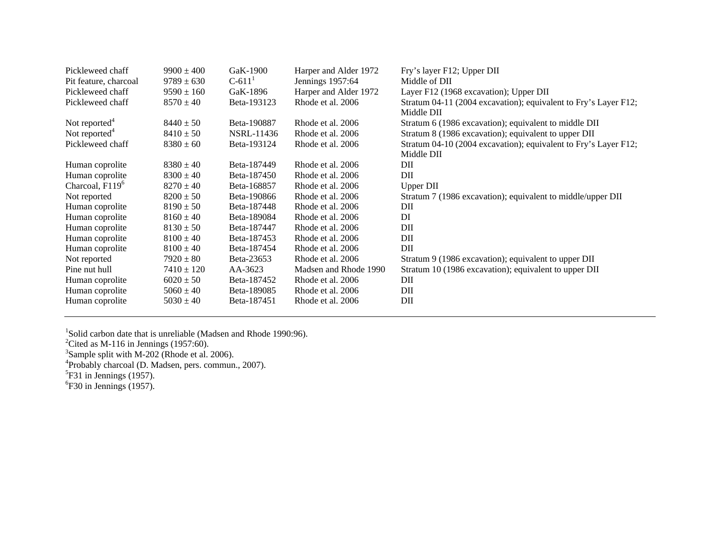| Pickleweed chaff            | $9900 \pm 400$ | GaK-1900             | Harper and Alder 1972 | Fry's layer F12; Upper DII                                      |
|-----------------------------|----------------|----------------------|-----------------------|-----------------------------------------------------------------|
| Pit feature, charcoal       | $9789 \pm 630$ | $C-611$ <sup>1</sup> | Jennings 1957:64      | Middle of DII                                                   |
| Pickleweed chaff            | $9590 \pm 160$ | GaK-1896             | Harper and Alder 1972 | Layer F12 (1968 excavation); Upper DII                          |
| Pickleweed chaff            | $8570 \pm 40$  | Beta-193123          | Rhode et al. 2006     | Stratum 04-11 (2004 excavation); equivalent to Fry's Layer F12; |
|                             |                |                      |                       | Middle DII                                                      |
| Not reported <sup>4</sup>   | $8440 \pm 50$  | Beta-190887          | Rhode et al. 2006     | Stratum 6 (1986 excavation); equivalent to middle DII           |
| Not reported <sup>4</sup>   | $8410 \pm 50$  | NSRL-11436           | Rhode et al. 2006     | Stratum 8 (1986 excavation); equivalent to upper DII            |
| Pickleweed chaff            | $8380 \pm 60$  | Beta-193124          | Rhode et al. 2006     | Stratum 04-10 (2004 excavation); equivalent to Fry's Layer F12; |
|                             |                |                      |                       | Middle DII                                                      |
| Human coprolite             | $8380 \pm 40$  | Beta-187449          | Rhode et al. 2006     | $\rm{DH}$                                                       |
| Human coprolite             | $8300 \pm 40$  | Beta-187450          | Rhode et al. 2006     | DII                                                             |
| Charcoal, F119 <sup>6</sup> | $8270 \pm 40$  | Beta-168857          | Rhode et al. 2006     | Upper DII                                                       |
| Not reported                | $8200 \pm 50$  | Beta-190866          | Rhode et al. 2006     | Stratum 7 (1986 excavation); equivalent to middle/upper DII     |
| Human coprolite             | $8190 \pm 50$  | Beta-187448          | Rhode et al. 2006     | $\rm{DII}$                                                      |
| Human coprolite             | $8160 \pm 40$  | Beta-189084          | Rhode et al. 2006     | DI                                                              |
| Human coprolite             | $8130 \pm 50$  | Beta-187447          | Rhode et al. 2006     | DII                                                             |
| Human coprolite             | $8100 \pm 40$  | Beta-187453          | Rhode et al. 2006     | DII                                                             |
| Human coprolite             | $8100 \pm 40$  | Beta-187454          | Rhode et al. 2006     | DII                                                             |
| Not reported                | $7920 \pm 80$  | Beta-23653           | Rhode et al. 2006     | Stratum 9 (1986 excavation); equivalent to upper DII            |
| Pine nut hull               | $7410 \pm 120$ | AA-3623              | Madsen and Rhode 1990 | Stratum 10 (1986 excavation); equivalent to upper DII           |
| Human coprolite             | $6020 \pm 50$  | Beta-187452          | Rhode et al. 2006     | $\rm{DH}$                                                       |
| Human coprolite             | $5060 \pm 40$  | Beta-189085          | Rhode et al. 2006     | $\rm{DII}$                                                      |
| Human coprolite             | $5030 \pm 40$  | Beta-187451          | Rhode et al. 2006     | DII                                                             |
|                             |                |                      |                       |                                                                 |

<sup>1</sup>Solid carbon date that is unreliable (Madsen and Rhode 1990:96).

<sup>2</sup>Cited as M-116 in Jennings (1957:60).

 $3$ Sample split with M-202 (Rhode et al. 2006).

<sup>4</sup>Probably charcoal (D. Madsen, pers. commun., 2007).

 ${}^{5}F31$  in Jennings (1957).

 ${}^{6}$ F30 in Jennings (1957).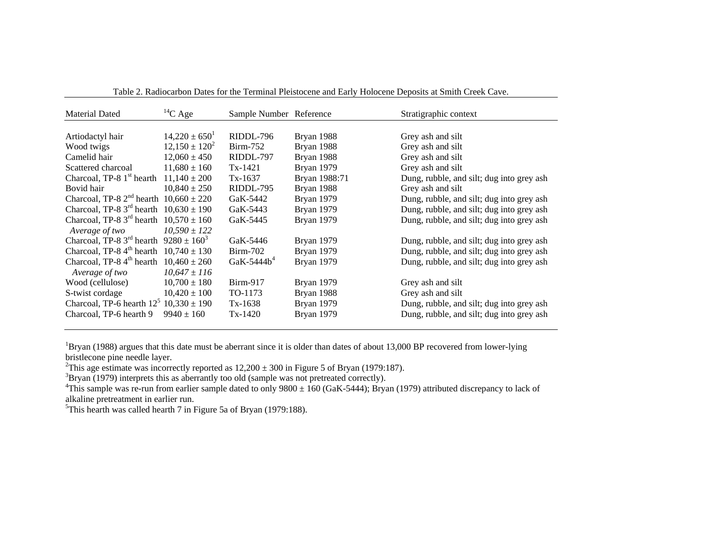| <b>Material Dated</b>                                  | ${}^{14}C$ Age     | Sample Number Reference |               | Stratigraphic context                     |
|--------------------------------------------------------|--------------------|-------------------------|---------------|-------------------------------------------|
|                                                        |                    |                         |               |                                           |
| Artiodactyl hair                                       | $14,220 \pm 650^1$ | RIDDL-796               | Bryan 1988    | Grey ash and silt                         |
| Wood twigs                                             | $12,150 \pm 120^2$ | $Birm-752$              | Bryan 1988    | Grey ash and silt                         |
| Camelid hair                                           | $12,060 \pm 450$   | RIDDL-797               | Bryan 1988    | Grey ash and silt                         |
| Scattered charcoal                                     | $11,680 \pm 160$   | $Tx-1421$               | Bryan 1979    | Grey ash and silt                         |
| Charcoal, TP-8 1 <sup>st</sup> hearth $11,140 \pm 200$ |                    | $Tx-1637$               | Bryan 1988:71 | Dung, rubble, and silt; dug into grey ash |
| Bovid hair                                             | $10.840 \pm 250$   | RIDDL-795               | Bryan 1988    | Grey ash and silt                         |
| Charcoal, TP-8 $2nd$ hearth $10,660 \pm 220$           |                    | GaK-5442                | Bryan 1979    | Dung, rubble, and silt; dug into grey ash |
| Charcoal, TP-8 $3^{\text{rd}}$ hearth $10,630 \pm 190$ |                    | GaK-5443                | Bryan 1979    | Dung, rubble, and silt; dug into grey ash |
| Charcoal, TP-8 $3^{\text{rd}}$ hearth $10,570 \pm 160$ |                    | GaK-5445                | Bryan 1979    | Dung, rubble, and silt; dug into grey ash |
| Average of two                                         | $10,590 \pm 122$   |                         |               |                                           |
| Charcoal, TP-8 3 <sup>rd</sup> hearth $9280 \pm 160^3$ |                    | GaK-5446                | Bryan 1979    | Dung, rubble, and silt; dug into grey ash |
| Charcoal, TP-8 4 <sup>th</sup> hearth $10,740 \pm 130$ |                    | $Birm-702$              | Bryan 1979    | Dung, rubble, and silt; dug into grey ash |
| Charcoal, TP-8 4 <sup>th</sup> hearth $10,460 \pm 260$ |                    | GaK-5444 $b^4$          | Bryan 1979    | Dung, rubble, and silt; dug into grey ash |
| Average of two                                         | $10,647 \pm 116$   |                         |               |                                           |
| Wood (cellulose)                                       | $10,700 \pm 180$   | $Birm-917$              | Bryan 1979    | Grey ash and silt                         |
| S-twist cordage                                        | $10,420 \pm 100$   | TO-1173                 | Bryan 1988    | Grey ash and silt                         |
| Charcoal, TP-6 hearth $12^5$ 10,330 $\pm$ 190          |                    | $Tx-1638$               | Bryan 1979    | Dung, rubble, and silt; dug into grey ash |
| Charcoal, TP-6 hearth 9                                | $9940 \pm 160$     | $Tx-1420$               | Bryan 1979    | Dung, rubble, and silt; dug into grey ash |

Table 2. Radiocarbon Dates for the Terminal Pleistocene and Early Holocene Deposits at Smith Creek Cave.

<sup>1</sup>Bryan (1988) argues that this date must be aberrant since it is older than dates of about 13,000 BP recovered from lower-lying bristlecone pine needle layer.

<sup>2</sup>This age estimate was incorrectly reported as  $12,200 \pm 300$  in Figure 5 of Bryan (1979:187).

<sup>3</sup>Bryan (1979) interprets this as aberrantly too old (sample was not pretreated correctly).

<sup>4</sup>This sample was re-run from earlier sample dated to only  $9800 \pm 160$  (GaK-5444); Bryan (1979) attributed discrepancy to lack of alkaline pretreatment in earlier run.

5This hearth was called hearth 7 in Figure 5a of Bryan (1979:188).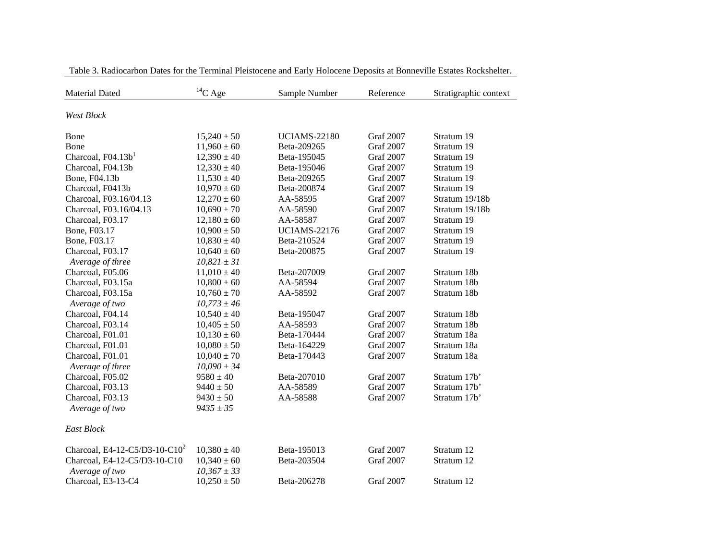| <b>Material Dated</b>                          | ${}^{14}C$ Age                     | Sample Number       | Reference        | Stratigraphic context |
|------------------------------------------------|------------------------------------|---------------------|------------------|-----------------------|
| West Block                                     |                                    |                     |                  |                       |
| Bone                                           | $15,240 \pm 50$                    | <b>UCIAMS-22180</b> | <b>Graf 2007</b> | Stratum 19            |
| Bone                                           | $11,960 \pm 60$                    | Beta-209265         | <b>Graf 2007</b> | Stratum 19            |
| Charcoal, $F04.13b1$                           | $12,390 \pm 40$                    | Beta-195045         | <b>Graf 2007</b> | Stratum 19            |
| Charcoal, F04.13b                              | $12,330 \pm 40$                    | Beta-195046         | <b>Graf 2007</b> | Stratum 19            |
| Bone, F04.13b                                  | $11,530 \pm 40$                    | Beta-209265         | <b>Graf 2007</b> | Stratum 19            |
| Charcoal, F0413b                               | $10,970 \pm 60$                    | Beta-200874         | <b>Graf 2007</b> | Stratum 19            |
| Charcoal, F03.16/04.13                         | $12,270 \pm 60$                    | AA-58595            | <b>Graf 2007</b> | Stratum 19/18b        |
| Charcoal, F03.16/04.13                         | $10,690 \pm 70$                    | AA-58590            | <b>Graf 2007</b> | Stratum 19/18b        |
| Charcoal, F03.17                               | $12,180 \pm 60$                    | AA-58587            | <b>Graf 2007</b> | Stratum 19            |
| Bone, F03.17                                   | $10,900 \pm 50$                    | <b>UCIAMS-22176</b> | <b>Graf 2007</b> | Stratum 19            |
| Bone, F03.17                                   | $10,830 \pm 40$                    | Beta-210524         | <b>Graf 2007</b> | Stratum 19            |
| Charcoal, F03.17                               | $10,640 \pm 60$                    | Beta-200875         | <b>Graf 2007</b> | Stratum 19            |
| Average of three                               | $10,821 \pm 31$                    |                     |                  |                       |
| Charcoal, F05.06                               | $11,010 \pm 40$                    | Beta-207009         | <b>Graf 2007</b> | Stratum 18b           |
| Charcoal, F03.15a                              | $10,800 \pm 60$                    | AA-58594            | <b>Graf 2007</b> | Stratum 18b           |
| Charcoal, F03.15a                              | $10,760 \pm 70$                    | AA-58592            | <b>Graf 2007</b> | Stratum 18b           |
| Average of two                                 | $10,773 \pm 46$                    |                     |                  |                       |
| Charcoal, F04.14                               | $10,540 \pm 40$                    | Beta-195047         | <b>Graf 2007</b> | Stratum 18b           |
| Charcoal, F03.14                               | $10,405 \pm 50$                    | AA-58593            | <b>Graf 2007</b> | Stratum 18b           |
| Charcoal, F01.01                               | $10,130 \pm 60$                    | Beta-170444         | <b>Graf 2007</b> | Stratum 18a           |
| Charcoal, F01.01                               | $10,080 \pm 50$                    | Beta-164229         | <b>Graf 2007</b> | Stratum 18a           |
| Charcoal, F01.01                               | $10,040 \pm 70$                    | Beta-170443         | <b>Graf 2007</b> | Stratum 18a           |
| Average of three                               | $10,090 \pm 34$                    |                     |                  |                       |
| Charcoal, F05.02                               | $9580 \pm 40$                      | Beta-207010         | <b>Graf 2007</b> | Stratum 17b'          |
| Charcoal, F03.13                               | $9440 \pm 50$                      | AA-58589            | <b>Graf 2007</b> | Stratum 17b'          |
| Charcoal, F03.13                               | $9430 \pm 50$                      | AA-58588            | <b>Graf 2007</b> | Stratum 17b'          |
| Average of two                                 | $9435 \pm 35$                      |                     |                  |                       |
| <b>East Block</b>                              |                                    |                     |                  |                       |
| Charcoal, E4-12-C5/D3-10-C10 <sup>2</sup>      | $10,380 \pm 40$                    | Beta-195013         | <b>Graf 2007</b> | Stratum 12            |
| Charcoal, E4-12-C5/D3-10-C10<br>Average of two | $10,340 \pm 60$<br>$10,367 \pm 33$ | Beta-203504         | <b>Graf 2007</b> | Stratum 12            |
| Charcoal, E3-13-C4                             | $10,250 \pm 50$                    | Beta-206278         | <b>Graf 2007</b> | Stratum 12            |

Table 3. Radiocarbon Dates for the Terminal Pleistocene and Early Holocene Deposits at Bonneville Estates Rockshelter.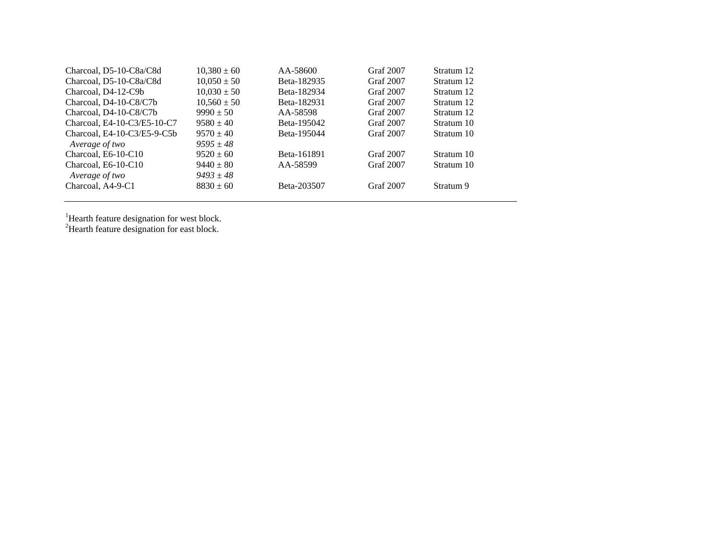| Charcoal, D5-10-C8a/C8d     | $10,380 \pm 60$ | AA-58600    | Graf 2007 | Stratum 12 |
|-----------------------------|-----------------|-------------|-----------|------------|
| Charcoal, D5-10-C8a/C8d     | $10.050 \pm 50$ | Beta-182935 | Graf 2007 | Stratum 12 |
| Charcoal, D4-12-C9b         | $10.030 \pm 50$ | Beta-182934 | Graf 2007 | Stratum 12 |
| Charcoal, D4-10-C8/C7b      | $10.560 \pm 50$ | Beta-182931 | Graf 2007 | Stratum 12 |
| Charcoal, D4-10-C8/C7b      | $9990 \pm 50$   | AA-58598    | Graf 2007 | Stratum 12 |
| Charcoal, E4-10-C3/E5-10-C7 | $9580 \pm 40$   | Beta-195042 | Graf 2007 | Stratum 10 |
| Charcoal, E4-10-C3/E5-9-C5b | $9570 \pm 40$   | Beta-195044 | Graf 2007 | Stratum 10 |
| Average of two              | $9595 + 48$     |             |           |            |
| Charcoal, E6-10-C10         | $9520 \pm 60$   | Beta-161891 | Graf 2007 | Stratum 10 |
| Charcoal, E6-10-C10         | $9440 \pm 80$   | AA-58599    | Graf 2007 | Stratum 10 |
| Average of two              | $9493 + 48$     |             |           |            |
| Charcoal, A4-9-C1           | $8830 \pm 60$   | Beta-203507 | Graf 2007 | Stratum 9  |
|                             |                 |             |           |            |

<sup>1</sup>Hearth feature designation for west block.

 ${}^{2}$ Hearth feature designation for east block.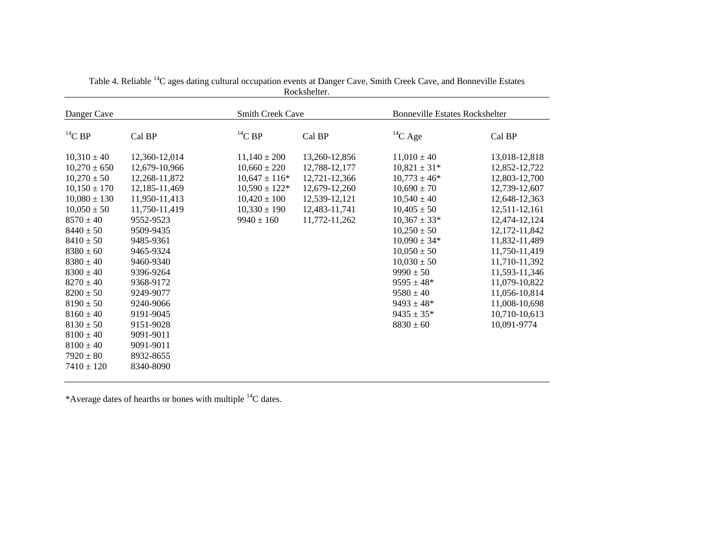| ${}^{14}C$ BP<br>${}^{14}C$ BP<br>${}^{14}C$ Age<br>Cal BP<br>Cal BP<br>Cal BP<br>$10,310 \pm 40$<br>12,360-12,014<br>$11,140 \pm 200$<br>13,260-12,856<br>$11,010 \pm 40$<br>$10,821 \pm 31*$<br>$10,270 \pm 650$<br>12,679-10,966<br>$10,660 \pm 220$<br>12,788-12,177<br>$10,647 \pm 116*$<br>$10,773 \pm 46^*$<br>$10,270 \pm 50$<br>12,268-11,872<br>12,721-12,366<br>$10,150 \pm 170$<br>12,185-11,469<br>$10,590 \pm 122*$<br>$10,690 \pm 70$<br>12,679-12,260<br>$10,080 \pm 130$<br>11,950-11,413<br>$10,420 \pm 100$<br>12,539-12,121<br>$10,540 \pm 40$<br>$10,050 \pm 50$<br>11,750-11,419<br>$10,405 \pm 50$<br>$10,330 \pm 190$<br>12,483-11,741<br>$10,367 \pm 33*$<br>$8570 \pm 40$<br>9552-9523<br>$9940 \pm 160$<br>11,772-11,262<br>$8440 \pm 50$<br>$10,250 \pm 50$<br>9509-9435<br>$8410 \pm 50$<br>$10,090 \pm 34*$<br>9485-9361<br>$8380 \pm 60$<br>$10,050 \pm 50$<br>9465-9324<br>$8380 \pm 40$<br>9460-9340<br>$10,030 \pm 50$<br>$8300 \pm 40$<br>9396-9264<br>$9990 \pm 50$<br>$8270 \pm 40$<br>9368-9172<br>$9595 \pm 48*$ | Danger Cave   |           | <b>Smith Creek Cave</b> |  | <b>Bonneville Estates Rockshelter</b> |                                                                                                                                                                                                                                                                                                 |
|---------------------------------------------------------------------------------------------------------------------------------------------------------------------------------------------------------------------------------------------------------------------------------------------------------------------------------------------------------------------------------------------------------------------------------------------------------------------------------------------------------------------------------------------------------------------------------------------------------------------------------------------------------------------------------------------------------------------------------------------------------------------------------------------------------------------------------------------------------------------------------------------------------------------------------------------------------------------------------------------------------------------------------------------------------|---------------|-----------|-------------------------|--|---------------------------------------|-------------------------------------------------------------------------------------------------------------------------------------------------------------------------------------------------------------------------------------------------------------------------------------------------|
|                                                                                                                                                                                                                                                                                                                                                                                                                                                                                                                                                                                                                                                                                                                                                                                                                                                                                                                                                                                                                                                         |               |           |                         |  |                                       |                                                                                                                                                                                                                                                                                                 |
| $8190 \pm 50$<br>9240-9066<br>$9493 \pm 48*$<br>$8160 \pm 40$<br>9191-9045<br>$9435 \pm 35*$<br>$8130 \pm 50$<br>9151-9028<br>$8830 \pm 60$<br>$8100 \pm 40$<br>9091-9011<br>$8100 \pm 40$<br>9091-9011<br>$7920 \pm 80$<br>8932-8655<br>$7410 \pm 120$<br>8340-8090                                                                                                                                                                                                                                                                                                                                                                                                                                                                                                                                                                                                                                                                                                                                                                                    | $8200 \pm 50$ | 9249-9077 |                         |  | $9580 \pm 40$                         | 13,018-12,818<br>12,852-12,722<br>12,803-12,700<br>12,739-12,607<br>12,648-12,363<br>12,511-12,161<br>12,474-12,124<br>12, 172 - 11, 842<br>11,832-11,489<br>11,750-11,419<br>11,710-11,392<br>11,593-11,346<br>11,079-10,822<br>11,056-10,814<br>11,008-10,698<br>10,710-10,613<br>10,091-9774 |

Table 4. Reliable <sup>14</sup>C ages dating cultural occupation events at Danger Cave, Smith Creek Cave, and Bonneville Estates Rockshelter.

\*Average dates of hearths or bones with multiple 14C dates.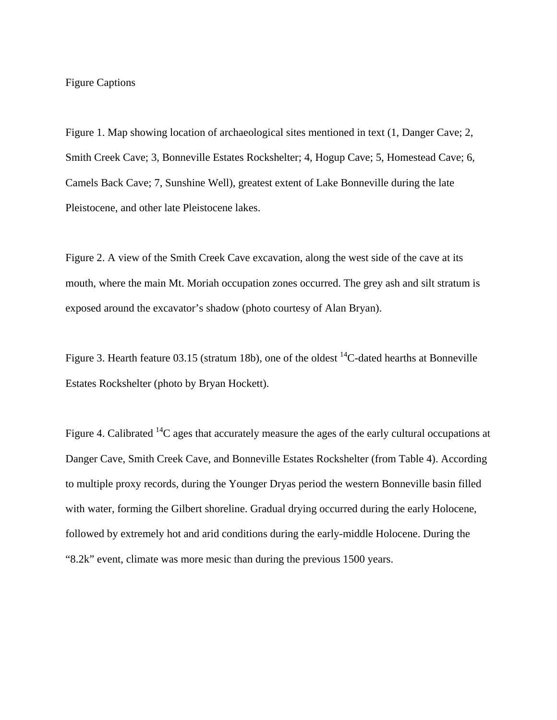## Figure Captions

Figure 1. Map showing location of archaeological sites mentioned in text (1, Danger Cave; 2, Smith Creek Cave; 3, Bonneville Estates Rockshelter; 4, Hogup Cave; 5, Homestead Cave; 6, Camels Back Cave; 7, Sunshine Well), greatest extent of Lake Bonneville during the late Pleistocene, and other late Pleistocene lakes.

Figure 2. A view of the Smith Creek Cave excavation, along the west side of the cave at its mouth, where the main Mt. Moriah occupation zones occurred. The grey ash and silt stratum is exposed around the excavator's shadow (photo courtesy of Alan Bryan).

Figure 3. Hearth feature 03.15 (stratum 18b), one of the oldest <sup>14</sup>C-dated hearths at Bonneville Estates Rockshelter (photo by Bryan Hockett).

Figure 4. Calibrated  $^{14}$ C ages that accurately measure the ages of the early cultural occupations at Danger Cave, Smith Creek Cave, and Bonneville Estates Rockshelter (from Table 4). According to multiple proxy records, during the Younger Dryas period the western Bonneville basin filled with water, forming the Gilbert shoreline. Gradual drying occurred during the early Holocene, followed by extremely hot and arid conditions during the early-middle Holocene. During the "8.2k" event, climate was more mesic than during the previous 1500 years.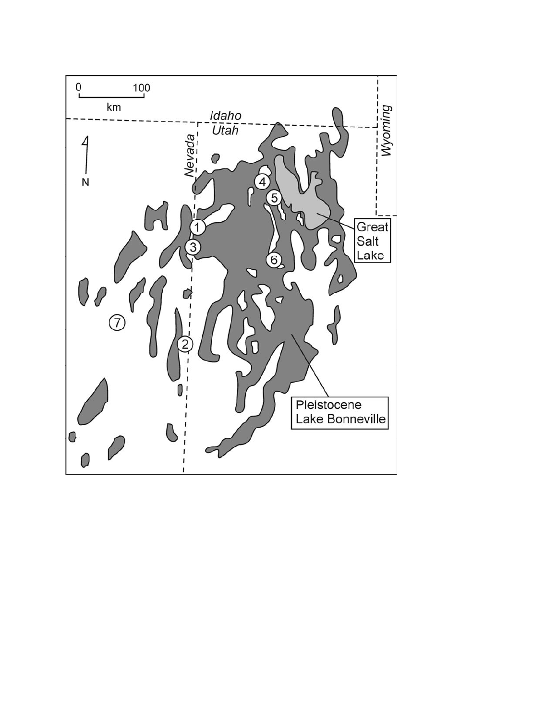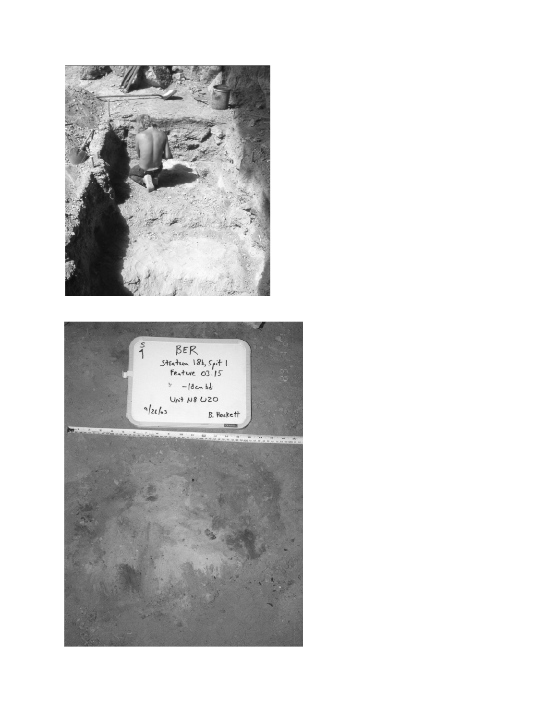